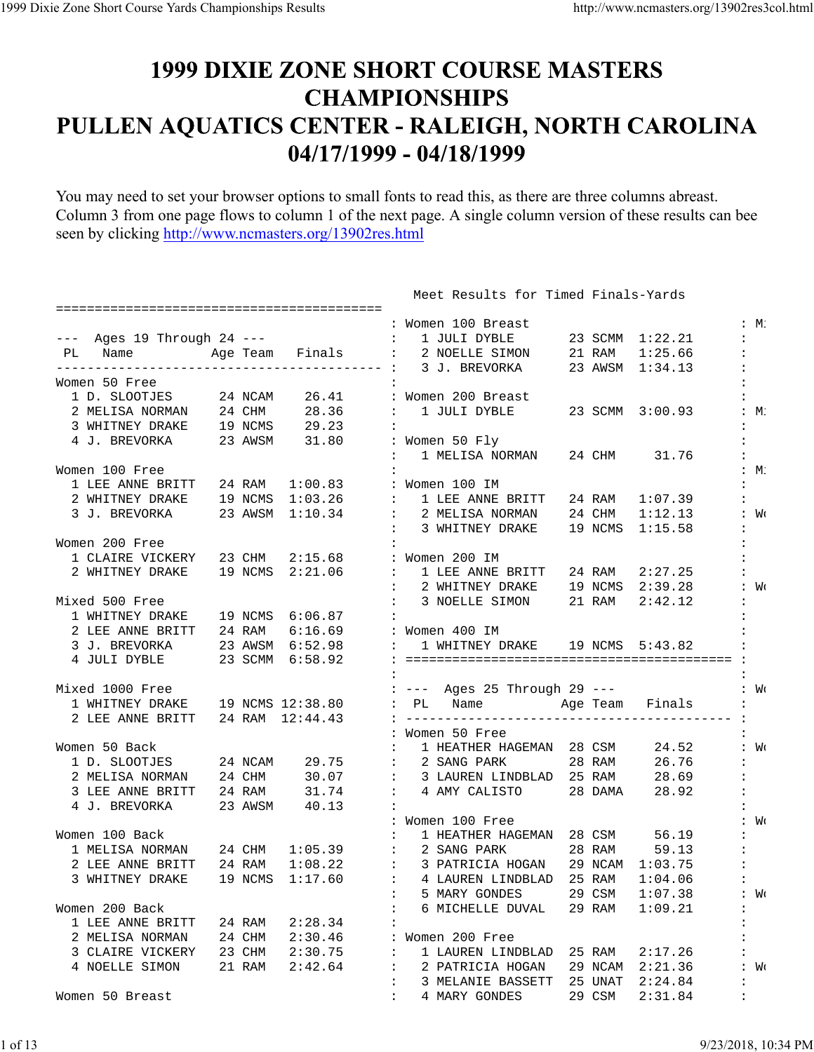## **1999 DIXIE ZONE SHORT COURSE MASTERS CHAMPIONSHIPS** PULLEN AQUATICS CENTER - RALEIGH, NORTH CAROLINA 04/17/1999 - 04/18/1999

You may need to set your browser options to small fonts to read this, as there are three columns abreast. Column 3 from one page flows to column 1 of the next page. A single column version of these results can bee seen by clicking http://www.ncmasters.org/13902res.html

|                                                |        |         | : Women 100 Breast<br>:M:                                                          |                  |
|------------------------------------------------|--------|---------|------------------------------------------------------------------------------------|------------------|
|                                                |        |         | --- Ages 19 Through 24 --- $\qquad :$ 1 JULI DYBLE 23 SCMM 1:22.21                 |                  |
| PL Name                                        |        |         | Age Team Finals : 2 NOELLE SIMON 21 RAM 1:25.66                                    |                  |
|                                                |        |         |                                                                                    |                  |
| Women 50 Free                                  |        |         |                                                                                    |                  |
| 1 D. SLOOTJES 24 NCAM                          |        |         | 26.41 : Women 200 Breast                                                           |                  |
|                                                |        |         | 2 MELISA NORMAN 24 CHM 28.36 : 1 JULI DYBLE 23 SCMM 3:00.93                        | $:M$ :           |
| 3 WHITNEY DRAKE 19 NCMS 29.23                  |        |         |                                                                                    |                  |
| 4 J. BREVORKA 23 AWSM 31.80 : Women 50 Fly     |        |         |                                                                                    |                  |
|                                                |        |         | : 1 MELISA NORMAN 24 CHM 31.76                                                     |                  |
| Women 100 Free                                 |        |         |                                                                                    | $:M$ :           |
| 1 LEE ANNE BRITT 24 RAM 1:00.83 : Women 100 IM |        |         |                                                                                    |                  |
|                                                |        |         | 2 WHITNEY DRAKE 19 NCMS 1:03.26 : 1 LEE ANNE BRITT<br>24 RAM 1:07.39               |                  |
|                                                |        |         | 3 J. BREVORKA 23 AWSM 1:10.34 : 2 MELISA NORMAN 24 CHM 1:12.13<br>: W <sub>C</sub> |                  |
|                                                |        |         | : 3 WHITNEY DRAKE 19 NCMS 1:15.58                                                  |                  |
| Women 200 Free                                 |        |         |                                                                                    |                  |
| 1 CLAIRE VICKERY 23 CHM 2:15.68 : Women 200 IM |        |         |                                                                                    |                  |
|                                                |        |         | 2 WHITNEY DRAKE $19$ NCMS $2:21.06$ : 1 LEE ANNE BRITT 24 RAM<br>2:27.25           |                  |
|                                                |        |         |                                                                                    |                  |
|                                                |        |         | $:$ 2 WHITNEY DRAKE $=$ 19 NCMS $=$ 2:39.28<br>: W <sub>C</sub>                    |                  |
| Mixed 500 Free                                 |        |         | : 3 NOELLE SIMON 21 RAM<br>2:42.12                                                 |                  |
| 1 WHITNEY DRAKE 19 NCMS 6:06.87                |        |         |                                                                                    |                  |
|                                                |        |         |                                                                                    |                  |
|                                                |        |         |                                                                                    |                  |
| 4 JULI DYBLE 23 SCMM 6:58.92                   |        |         |                                                                                    |                  |
|                                                |        |         |                                                                                    |                  |
| Mixed 1000 Free                                |        |         | : --- Ages 25 Through 29 --- : We                                                  |                  |
|                                                |        |         | 1 WHITNEY DRAKE 19 NCMS 12:38.80 : PL Name Age Team Finals :                       |                  |
| 2 LEE ANNE BRITT 24 RAM 12:44.43               |        |         |                                                                                    |                  |
|                                                |        |         | : Women 50 Free                                                                    |                  |
| Women 50 Back                                  |        |         | : 1 HEATHER HAGEMAN 28 CSM 24.52<br>: W <sub>C</sub>                               |                  |
|                                                |        |         | 1 D. SLOOTJES 24 NCAM 29.75 : 2 SANG PARK 28 RAM 26.76                             |                  |
|                                                |        |         | 2 MELISA NORMAN 24 CHM 30.07 : 3 LAUREN LINDBLAD 25 RAM 28.69                      |                  |
| 3 LEE ANNE BRITT 24 RAM 31.74                  |        |         | : 4 AMY CALISTO 28 DAMA 28.92                                                      |                  |
| 4 J. BREVORKA 23 AWSM 40.13                    |        |         |                                                                                    |                  |
|                                                |        |         | : Women 100 Free                                                                   | : W <sub>C</sub> |
| Women 100 Back                                 |        |         | : 1 HEATHER HAGEMAN 28 CSM 56.19                                                   |                  |
|                                                |        |         | 1 MELISA NORMAN 24 CHM 1:05.39 : 2 SANG PARK<br>28 RAM 59.13                       |                  |
|                                                |        |         | 2 LEE ANNE BRITT $24$ RAM $1:08.22$ : 3 PATRICIA HOGAN<br>29 NCAM 1:03.75          |                  |
|                                                |        |         | 3 WHITNEY DRAKE $19$ NCMS $1:17.60$ : 4 LAUREN LINDBLAD 25 RAM $1:04.06$           |                  |
|                                                |        |         | 5 MARY GONDES<br>$\mathbf{1}$<br>29 CSM<br>1:07.38<br>: W <sub>0</sub>             |                  |
| Women 200 Back                                 |        |         | 6 MICHELLE DUVAL<br>1:09.21<br>29 RAM                                              |                  |
| 1 LEE ANNE BRITT                               | 24 RAM | 2:28.34 |                                                                                    |                  |
| 2 MELISA NORMAN                                | 24 CHM | 2:30.46 | Women 200 Free                                                                     |                  |
| 3 CLAIRE VICKERY                               | 23 CHM | 2:30.75 | 1 LAUREN LINDBLAD<br>25 RAM<br>2:17.26                                             |                  |
| 4 NOELLE SIMON                                 | 21 RAM | 2:42.64 | 29 NCAM<br>2:21.36<br>2 PATRICIA HOGAN<br>: W <sub>0</sub>                         |                  |
|                                                |        |         | 25 UNAT<br>2:24.84<br>:<br>3 MELANIE BASSETT                                       |                  |
| Women 50 Breast                                |        |         | 29 CSM<br>$\ddot{\phantom{a}}$<br>4 MARY GONDES<br>2:31.84<br>$\ddot{\cdot}$       |                  |
|                                                |        |         |                                                                                    |                  |

Meet Results for Timed Finals-Yards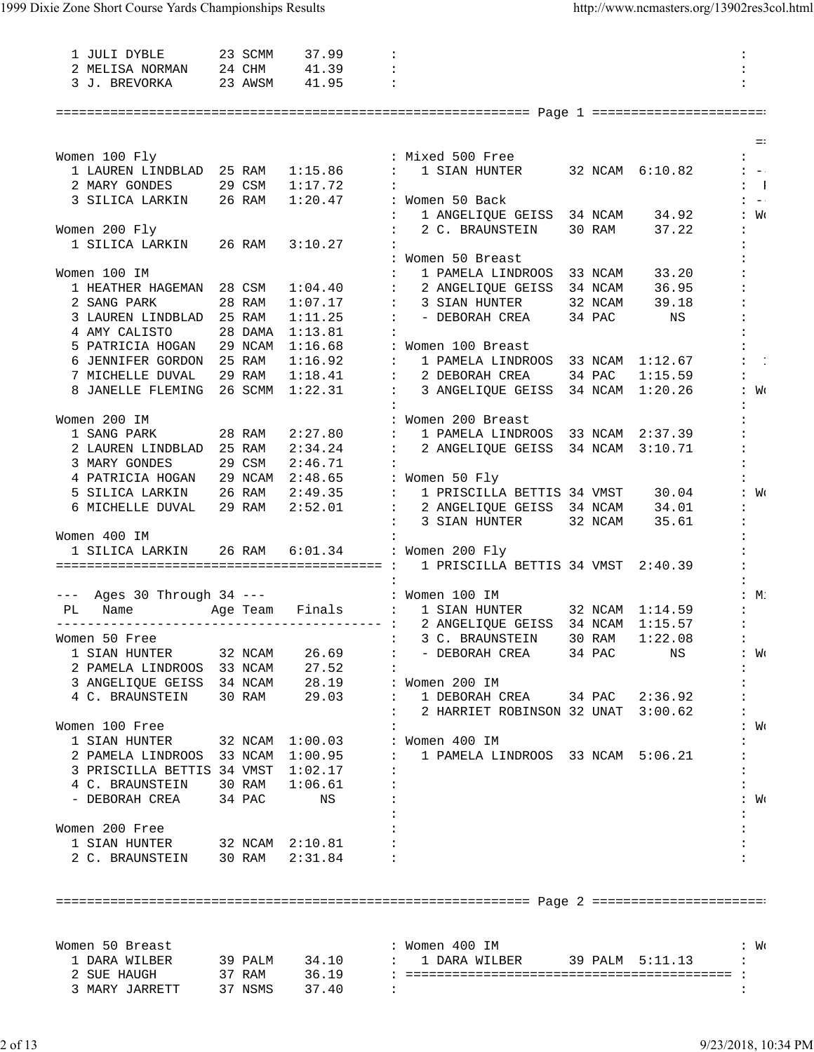| 1 JULI DYBLE<br>23 SCMM                                                                                                           |        | 37.99           | $\ddot{\cdot}$                                                                               |       |
|-----------------------------------------------------------------------------------------------------------------------------------|--------|-----------------|----------------------------------------------------------------------------------------------|-------|
| 2 MELISA NORMAN 24 CHM 41.39<br>3 J. BREVORKA 23 AWSM 41.95                                                                       |        |                 | $\ddot{\phantom{a}}$                                                                         |       |
|                                                                                                                                   |        |                 | $\ddot{\phantom{a}}$                                                                         |       |
|                                                                                                                                   |        |                 |                                                                                              |       |
|                                                                                                                                   |        |                 |                                                                                              |       |
|                                                                                                                                   |        |                 |                                                                                              | $=$ : |
| Women 100 Fly                                                                                                                     |        |                 | : Mixed 500 Free<br>$\mathbf{1}$                                                             |       |
| 1 LAUREN LINDBLAD 25 RAM 1:15.86                                                                                                  |        |                 | 1 SIAN HUNTER 32 NCAM 6:10.82<br>$\mathbf{1}$ and $\mathbf{1}$<br>$1 - -1$                   |       |
| 2 MARY GONDES 29 CSM                                                                                                              |        | 1:17.72         | $\mathbf{i}$ 1                                                                               |       |
| 3 SILICA LARKIN 26 RAM                                                                                                            |        |                 | 1:20.47 : Women 50 Back<br>$1 - -1$                                                          |       |
|                                                                                                                                   |        |                 | 1 ANGELIQUE GEISS 34 NCAM 34.92<br>: W <sub>C</sub>                                          |       |
|                                                                                                                                   |        |                 | 30 RAM<br>37.22                                                                              |       |
| Women 200 Fly                                                                                                                     |        |                 | 2 C. BRAUNSTEIN                                                                              |       |
| 1 SILICA LARKIN 26 RAM 3:10.27                                                                                                    |        |                 |                                                                                              |       |
|                                                                                                                                   |        |                 | : Women 50 Breast<br>$\mathbf{L}$                                                            |       |
| Women 100 IM                                                                                                                      |        |                 | 33 NCAM<br>1 PAMELA LINDROOS<br>33.20                                                        |       |
| 1 HEATHER HAGEMAN 28 CSM                                                                                                          |        |                 | $1:04.40$ : 2 ANGELIQUE GEISS<br>34 NCAM 36.95                                               |       |
| 2 SANG PARK                                                                                                                       | 28 RAM |                 | $1:07.17$ : 3 SIAN HUNTER<br>32 NCAM<br>39.18                                                |       |
| 3 LAUREN LINDBLAD 25 RAM                                                                                                          |        | 1:11.25         | : - DEBORAH CREA<br>34 PAC<br>NS                                                             |       |
| 4 AMY CALISTO                                                                                                                     |        | 28 DAMA 1:13.81 |                                                                                              |       |
|                                                                                                                                   |        |                 | 5 PATRICIA HOGAN 29 NCAM 1:16.68 : Women 100 Breast                                          |       |
| 6 JENNIFER GORDON 25 RAM                                                                                                          |        |                 | $1:16.92$ : 1 PAMELA LINDROOS<br>33 NCAM 1:12.67                                             |       |
| 7 MICHELLE DUVAL 29 RAM                                                                                                           |        |                 | $1:18.41$ : 2 DEBORAH CREA<br>34 PAC<br>1:15.59                                              |       |
|                                                                                                                                   |        |                 | 8 JANELLE FLEMING 26 SCMM 1:22.31 : 3 ANGELIQUE GEISS 34 NCAM 1:20.26<br>: W <sub>C</sub>    |       |
|                                                                                                                                   |        |                 |                                                                                              |       |
| Women 200 IM                                                                                                                      |        |                 | : Women 200 Breast                                                                           |       |
| 28 RAM<br>1 SANG PARK                                                                                                             |        | 2:27.80         | : 1 PAMELA LINDROOS<br>33 NCAM 2:37.39                                                       |       |
| 2 LAUREN LINDBLAD 25 RAM                                                                                                          |        |                 | $2:34.24$ : 2 ANGELIQUE GEISS<br>34 NCAM 3:10.71                                             |       |
| 3 MARY GONDES                                                                                                                     | 29 CSM | 2:46.71         |                                                                                              |       |
| 4 PATRICIA HOGAN 29 NCAM $2:48.65$ : Women 50 Fly                                                                                 |        |                 |                                                                                              |       |
|                                                                                                                                   |        |                 | 5 SILICA LARKIN 26 RAM 2:49.35 : 1 PRISCILLA BETTIS 34 VMST 30.04<br>: W <sub>0</sub>        |       |
| 6 MICHELLE DUVAL 29 RAM                                                                                                           |        |                 | 2:52.01 : 2 ANGELIQUE GEISS 34 NCAM 34.01                                                    |       |
|                                                                                                                                   |        |                 | $\mathbf{1}$<br>3 SIAN HUNTER<br>32 NCAM<br>35.61                                            |       |
| Women 400 IM                                                                                                                      |        |                 |                                                                                              |       |
| 1 SILICA LARKIN                                                                                                                   | 26 RAM |                 | 6:01.34 : Women 200 Fly                                                                      |       |
|                                                                                                                                   |        |                 | 1 PRISCILLA BETTIS 34 VMST 2:40.39                                                           |       |
|                                                                                                                                   |        |                 |                                                                                              |       |
|                                                                                                                                   |        |                 | --- Ages 30 Through 34 ---<br>PL Name Age Team Finals : 1 SIAN HUNTER 32 NCAM 1:14.59<br>:M: |       |
|                                                                                                                                   |        |                 |                                                                                              |       |
|                                                                                                                                   |        |                 |                                                                                              |       |
| Women 50 Free                                                                                                                     |        |                 | $\sim$ 3 C. BRAUNSTEIN 30 RAM $1:22.08$                                                      |       |
|                                                                                                                                   |        | 26.69           |                                                                                              |       |
| 1 SIAN HUNTER 32 NCAM                                                                                                             |        |                 | : - DEBORAH CREA 34 PAC<br>NS<br>: W <sub>C</sub>                                            |       |
|                                                                                                                                   |        |                 |                                                                                              |       |
| 2 PAMELA LINDROOS 33 NCAM 27.52 :<br>3 ANGELIQUE GEISS 34 NCAM 28.19 : Women 200 IM<br>4 C. BRAUNSTEIN 30 RAM 29.03 : 1 DEBORAH C |        |                 |                                                                                              |       |
|                                                                                                                                   |        |                 | : 1 DEBORAH CREA 34 PAC 2:36.92                                                              |       |
|                                                                                                                                   |        |                 | $: 2$ HARRIET ROBINSON 32 UNAT $3:00.62$                                                     |       |
| Women 100 Free                                                                                                                    |        |                 | : W <sub>C</sub>                                                                             |       |
| 1 SIAN HUNTER 32 NCAM 1:00.03 : Women 400 IM                                                                                      |        |                 |                                                                                              |       |
|                                                                                                                                   |        |                 | 2 PAMELA LINDROOS 33 NCAM 1:00.95 : 1 PAMELA LINDROOS 33 NCAM 5:06.21                        |       |
| 3 PRISCILLA BETTIS 34 VMST 1:02.17                                                                                                |        |                 |                                                                                              |       |
| 4 C. BRAUNSTEIN 30 RAM 1:06.61                                                                                                    |        |                 | $\ddot{\phantom{a}}$                                                                         |       |
| - DEBORAH CREA 34 PAC                                                                                                             |        | NS              | : W <sub>C</sub>                                                                             |       |
|                                                                                                                                   |        |                 |                                                                                              |       |
| Women 200 Free                                                                                                                    |        |                 |                                                                                              |       |
|                                                                                                                                   |        |                 |                                                                                              |       |
| 1 SIAN HUNTER 32 NCAM 2:10.81<br>2 C. BRAUNSTEIN 30 RAM 2:31.84                                                                   |        |                 |                                                                                              |       |
|                                                                                                                                   |        |                 |                                                                                              |       |
|                                                                                                                                   |        |                 |                                                                                              |       |
|                                                                                                                                   |        |                 |                                                                                              |       |
|                                                                                                                                   |        |                 |                                                                                              |       |
|                                                                                                                                   |        |                 |                                                                                              |       |
| Women 50 Breast                                                                                                                   |        |                 | : Women 400 IM<br>: W <sub>C</sub>                                                           |       |
| 1 DARA WILBER                                                                                                                     |        |                 | 39 PALM $34.10$ : 1 DARA WILBER<br>39 PALM 5:11.13<br>$\mathbf{L}$                           |       |
|                                                                                                                                   |        |                 |                                                                                              |       |
| 3 MARY JARRETT 37 NSMS 37.40                                                                                                      |        |                 |                                                                                              |       |
|                                                                                                                                   |        |                 |                                                                                              |       |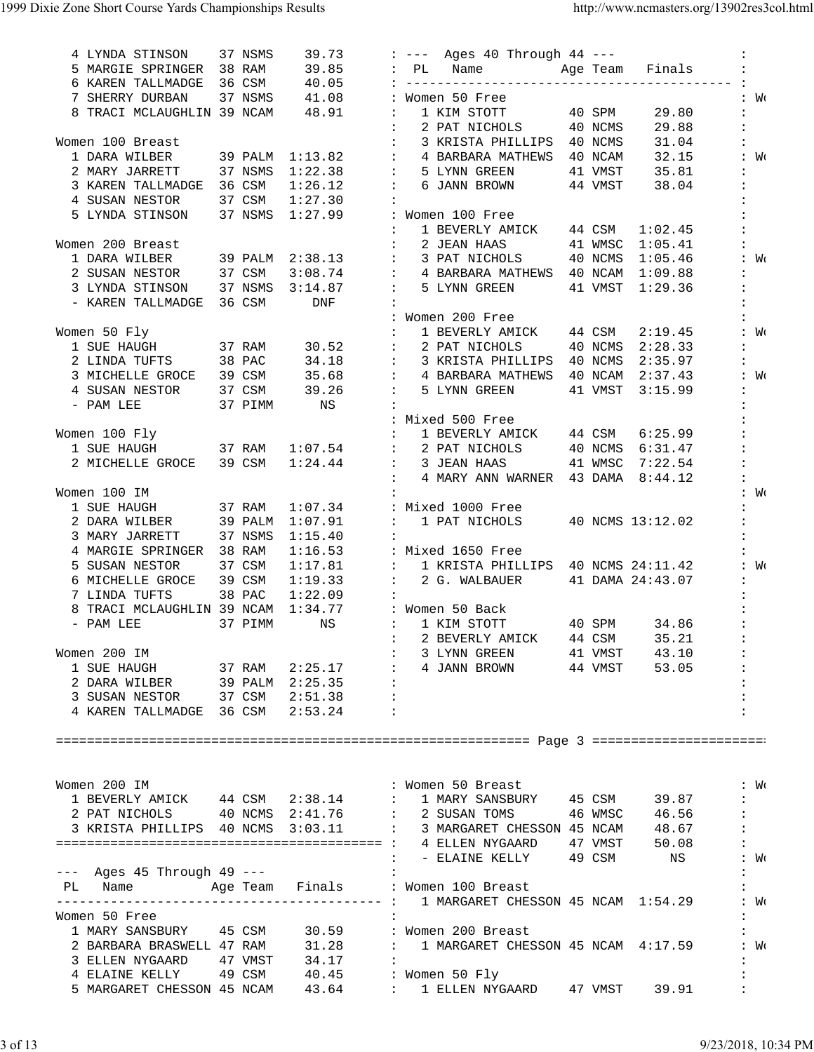| 4 LYNDA STINSON 37 NSMS                                                                                                        |        | 39.73       |                   |                   | : --- Ages 40 Through 44 ---                                                             |        |                 |                      |
|--------------------------------------------------------------------------------------------------------------------------------|--------|-------------|-------------------|-------------------|------------------------------------------------------------------------------------------|--------|-----------------|----------------------|
| 5 MARGIE SPRINGER 38 RAM                                                                                                       |        |             |                   |                   | 39.85 : PL Name Mage Team Finals :                                                       |        |                 |                      |
| 6 KAREN TALLMADGE 36 CSM                                                                                                       |        |             |                   |                   |                                                                                          |        |                 |                      |
| 7 SHERRY DURBAN 37 NSMS 41.08 : Women 50 Free                                                                                  |        |             |                   |                   |                                                                                          |        |                 | : W <sub>0</sub>     |
| 8 TRACI MCLAUGHLIN 39 NCAM 48.91 :                                                                                             |        |             |                   |                   | 1 KIM STOTT 40 SPM                                                                       |        | 29.80           | $\ddot{\phantom{a}}$ |
|                                                                                                                                |        |             |                   |                   | : 2 PAT NICHOLS 40 NCMS                                                                  |        | 29.88           | $\ddot{\phantom{a}}$ |
| Women 100 Breast                                                                                                               |        |             | <b>Contractor</b> |                   | 3 KRISTA PHILLIPS 40 NCMS                                                                |        | 31.04           | $\ddot{\phantom{a}}$ |
| 1 DARA WILBER                                                                                                                  |        |             |                   |                   | 39 PALM 1:13.82 : 4 BARBARA MATHEWS 40 NCAM                                              |        |                 | $32.15$ : Wo         |
| 2 MARY JARRETT 37 NSMS 1:22.38 : 5 LYNN GREEN 41 VMST 35.81                                                                    |        |             |                   |                   |                                                                                          |        |                 |                      |
| 3 KAREN TALLMADGE 36 CSM                                                                                                       |        |             |                   |                   | $1:26.12$ : 6 JANN BROWN 44 VMST 38.04                                                   |        |                 | $\ddot{\phantom{a}}$ |
| 4 SUSAN NESTOR                                                                                                                 | 37 CSM | $1:27.30$ : |                   |                   |                                                                                          |        |                 |                      |
| 5 LYNDA STINSON 37 NSMS 1:27.99 : Women 100 Free                                                                               |        |             |                   |                   |                                                                                          |        |                 | $\ddot{\phantom{a}}$ |
|                                                                                                                                |        |             |                   |                   | 1 BEVERLY AMICK 44 CSM                                                                   |        | 1:02.45         |                      |
| Women 200 Breast                                                                                                               |        |             |                   | $\sim 100$        | 2 JEAN HAAS                                                                              |        | 41 WMSC 1:05.41 |                      |
| 1 DARA WILBER 39 PALM 2:38.13 : 3 PAT NICHOLS                                                                                  |        |             |                   |                   |                                                                                          |        | 40 NCMS 1:05.46 | : W <sub>C</sub>     |
| 2 SUSAN NESTOR 37 CSM                                                                                                          |        |             |                   |                   | $3:08.74$ : 4 BARBARA MATHEWS 40 NCAM $1:09.88$                                          |        |                 | $\ddot{\cdot}$       |
| 3 LYNDA STINSON 37 NSMS 3:14.87 : 5 LYNN GREEN                                                                                 |        |             |                   |                   |                                                                                          |        | 41 VMST 1:29.36 |                      |
| - KAREN TALLMADGE 36 CSM                                                                                                       |        | DNF         | $\sim$ 1.1        |                   |                                                                                          |        |                 |                      |
|                                                                                                                                |        |             |                   |                   | : Women 200 Free                                                                         |        |                 |                      |
| Women 50 Fly                                                                                                                   |        |             |                   | $\mathbf{E}$      | 1 BEVERLY AMICK 44 CSM                                                                   |        | 2:19.45         | : W <sub>C</sub>     |
| 1 SUE HAUGH 37 RAM 30.52 : 2 PAT NICHOLS 40 NCMS 2:28.33                                                                       |        |             |                   |                   |                                                                                          |        |                 | $\ddot{\phantom{a}}$ |
| 2 LINDA TUFTS 38 PAC                                                                                                           |        |             |                   |                   | 34.18 : 3 KRISTA PHILLIPS 40 NCMS                                                        |        | 2:35.97         | $\ddot{\phantom{a}}$ |
| 3 MICHELLE GROCE 39 CSM                                                                                                        |        |             |                   |                   | 35.68 : 4 BARBARA MATHEWS 40 NCAM 2:37.43                                                |        |                 | : W <sub>C</sub>     |
| 4 SUSAN NESTOR 37 CSM<br>- PAM LEE 37 PIMM                                                                                     |        |             |                   |                   | 39.26 : 5 LYNN GREEN 41 VMST 3:15.99                                                     |        |                 |                      |
|                                                                                                                                |        | NS          | $\sim$ 100 $\sim$ |                   |                                                                                          |        |                 |                      |
|                                                                                                                                |        |             |                   |                   | : Mixed 500 Free                                                                         |        |                 |                      |
| Women 100 Fly                                                                                                                  |        |             |                   |                   | : 1 BEVERLY AMICK 44 CSM 6:25.99                                                         |        |                 |                      |
| 1 SUE HAUGH 37 RAM 1:07.54 : 2 PAT NICHOLS 40 NCMS 6:31.47                                                                     |        |             |                   |                   |                                                                                          |        |                 | $\ddot{\phantom{a}}$ |
| 2 MICHELLE GROCE 39 CSM                                                                                                        |        |             |                   |                   | $1:24.44$ : 3 JEAN HAAS 41 WMSC 7:22.54                                                  |        |                 |                      |
|                                                                                                                                |        |             |                   | $\sim$ 100 $\sim$ | 4 MARY ANN WARNER 43 DAMA 8:44.12                                                        |        |                 |                      |
| Women 100 IM                                                                                                                   |        |             | $\cdot$ :         |                   |                                                                                          |        |                 | : W <sub>0</sub>     |
| 1 SUE HAUGH 37 RAM                                                                                                             |        |             |                   |                   | $1:07.34$ : Mixed 1000 Free                                                              |        |                 |                      |
| 2 DARA WILBER 39 PALM 1:07.91                                                                                                  |        |             |                   |                   | : 1 PAT NICHOLS 40 NCMS 13:12.02                                                         |        |                 |                      |
| 3 MARY JARRETT 37 NSMS                                                                                                         |        | 1:15.40     |                   |                   |                                                                                          |        |                 |                      |
| 4 MARGIE SPRINGER 38 RAM                                                                                                       |        |             |                   |                   | $1:16.53$ : Mixed 1650 Free                                                              |        |                 |                      |
| 5 SUSAN NESTOR 37 CSM<br>6 MICHELLE GROCE 39 CSM                                                                               |        |             |                   |                   | 1:17.81 : 1 KRISTA PHILLIPS 40 NCMS 24:11.42<br>1:19.33 : 2 G. WALBAUER 41 DAMA 24:43.07 |        |                 | : W <sub>C</sub>     |
|                                                                                                                                |        |             |                   |                   |                                                                                          |        |                 |                      |
| 7 LINDA TUFTS                                                                                                                  | 38 PAC | 1:22.09     | $\mathbf{r}$      |                   |                                                                                          |        |                 |                      |
| 8 TRACI MCLAUGHLIN 39 NCAM 1:34.77 : Women 50 Back                                                                             |        |             |                   |                   |                                                                                          |        |                 |                      |
| - PAM LEE<br>37 PIMM                                                                                                           |        |             |                   |                   | NS : 1 KIM STOTT 40 SPM 34.86                                                            |        |                 | $\ddot{\phantom{a}}$ |
|                                                                                                                                |        |             |                   |                   | : 2 BEVERLY AMICK                                                                        | 44 CSM | 35.21           |                      |
| Women 200 IM                                                                                                                   |        |             |                   |                   |                                                                                          |        |                 | $\ddot{\phantom{a}}$ |
|                                                                                                                                |        |             |                   |                   |                                                                                          |        |                 |                      |
|                                                                                                                                |        |             |                   |                   |                                                                                          |        |                 |                      |
|                                                                                                                                |        |             |                   |                   |                                                                                          |        |                 |                      |
|                                                                                                                                |        |             |                   |                   |                                                                                          |        |                 |                      |
|                                                                                                                                |        |             |                   |                   |                                                                                          |        |                 |                      |
|                                                                                                                                |        |             |                   |                   |                                                                                          |        |                 |                      |
|                                                                                                                                |        |             |                   |                   |                                                                                          |        |                 |                      |
|                                                                                                                                |        |             |                   |                   |                                                                                          |        |                 |                      |
| Women 200 IM                                                                                                                   |        |             |                   |                   |                                                                                          |        |                 | : W <sub>C</sub>     |
|                                                                                                                                |        |             |                   |                   |                                                                                          |        |                 | $\mathbf{L}$         |
| 2 PAT NICHOLS 40 NCMS 2:41.76 : 2 SUSAN TOMS 46 WMSC 46.56 :                                                                   |        |             |                   |                   |                                                                                          |        |                 |                      |
|                                                                                                                                |        |             |                   |                   |                                                                                          |        |                 |                      |
|                                                                                                                                |        |             |                   |                   |                                                                                          |        |                 |                      |
|                                                                                                                                |        |             |                   |                   |                                                                                          |        |                 |                      |
| --- Ages 45 Through 49 --- 1997 :                                                                                              |        |             |                   |                   |                                                                                          |        |                 |                      |
| PL Name Mge Team Finals : Women 100 Breast                                                                                     |        |             |                   |                   |                                                                                          |        |                 |                      |
|                                                                                                                                |        |             |                   |                   |                                                                                          |        |                 |                      |
| Women 50 Free                                                                                                                  |        |             |                   |                   |                                                                                          |        |                 | $\ddot{\phantom{a}}$ |
| 1 MARY SANSBURY 45 CSM 30.59 : Women 200 Breast :<br>2 BARBARA BRASWELL 47 RAM 31.28 : 1 MARGARET CHESSON 45 NCAM 4:17.59 : Wo |        |             |                   |                   |                                                                                          |        |                 |                      |
|                                                                                                                                |        |             |                   |                   |                                                                                          |        |                 |                      |
| 3 ELLEN NYGAARD 47 VMST 34.17 :                                                                                                |        |             |                   |                   |                                                                                          |        |                 |                      |
| 4 ELAINE KELLY 49 CSM 40.45 : Women 50 Fly                                                                                     |        |             |                   |                   |                                                                                          |        |                 |                      |
| 5 MARGARET CHESSON 45 NCAM 43.64 : 1 ELLEN NYGAARD 47 VMST 39.91                                                               |        |             |                   |                   |                                                                                          |        |                 |                      |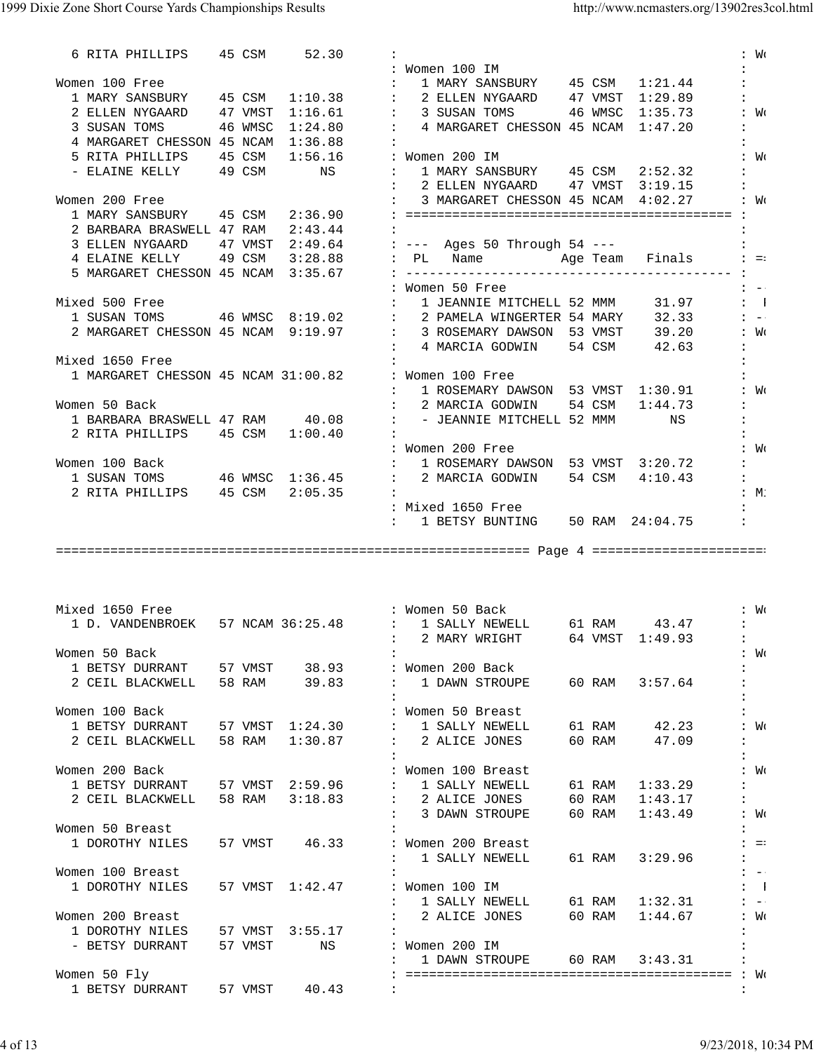| 6 RITA PHILLIPS 45 CSM 52.30          |  |       |                                                                                                                                                                                                                                        | : W <sub>C</sub>                           |
|---------------------------------------|--|-------|----------------------------------------------------------------------------------------------------------------------------------------------------------------------------------------------------------------------------------------|--------------------------------------------|
|                                       |  |       | : Women 100 IM<br>$\mathbf{1}$ , $\mathbf{1}$                                                                                                                                                                                          |                                            |
| Women 100 Free                        |  |       |                                                                                                                                                                                                                                        |                                            |
|                                       |  |       |                                                                                                                                                                                                                                        |                                            |
|                                       |  |       | 2 ELLEN NYGAARD 47 VMST 1:16.61 : 3 SUSAN TOMS 46 WMSC 1:35.73 : W                                                                                                                                                                     |                                            |
| 3 SUSAN TOMS 46 WMSC                  |  |       | $1:24.80$ : 4 MARGARET CHESSON 45 NCAM $1:47.20$ :                                                                                                                                                                                     |                                            |
| 4 MARGARET CHESSON 45 NCAM 1:36.88 :  |  |       |                                                                                                                                                                                                                                        |                                            |
|                                       |  |       |                                                                                                                                                                                                                                        |                                            |
|                                       |  |       |                                                                                                                                                                                                                                        |                                            |
|                                       |  |       |                                                                                                                                                                                                                                        |                                            |
| Women 200 Free                        |  |       |                                                                                                                                                                                                                                        |                                            |
|                                       |  |       |                                                                                                                                                                                                                                        |                                            |
| 2 BARBARA BRASWELL 47 RAM $2:43.44$ : |  |       |                                                                                                                                                                                                                                        |                                            |
|                                       |  |       |                                                                                                                                                                                                                                        |                                            |
|                                       |  |       |                                                                                                                                                                                                                                        |                                            |
|                                       |  |       |                                                                                                                                                                                                                                        |                                            |
|                                       |  |       |                                                                                                                                                                                                                                        |                                            |
|                                       |  |       | : Women 50 Free<br>$\mathbf{z}$ and $\mathbf{z}$                                                                                                                                                                                       |                                            |
| Mixed 500 Free                        |  |       |                                                                                                                                                                                                                                        |                                            |
|                                       |  |       | ixed 500 Free : 1 JEANNIE MITCHELL 52 MMM 31.97 : 1<br>1 SUSAN TOMS 46 WMSC 8:19.02 : 2 PAMELA WINGERTER 54 MARY 32.33 : -<br>2 MARGARET CHESSON 45 NCAM 9:19.97 : 3 ROSEMARY DAWSON 53 VMST 39.20 : W<br>4 MARCIA GODWIN 54 CSM 42.63 |                                            |
|                                       |  |       |                                                                                                                                                                                                                                        |                                            |
|                                       |  |       |                                                                                                                                                                                                                                        |                                            |
| Mixed 1650 Free                       |  |       | $\mathbf{1}$                                                                                                                                                                                                                           |                                            |
|                                       |  |       | 1 MARGARET CHESSON 45 NCAM 31:00.82 : Women 100 Free                                                                                                                                                                                   |                                            |
|                                       |  |       | : 1 ROSEMARY DAWSON 53 VMST 1:30.91 : Wo                                                                                                                                                                                               |                                            |
| Women 50 Back                         |  |       |                                                                                                                                                                                                                                        |                                            |
|                                       |  |       |                                                                                                                                                                                                                                        |                                            |
| 2 RITA PHILLIPS 45 CSM 1:00.40        |  |       | $\sim$ 100 $\pm$                                                                                                                                                                                                                       |                                            |
|                                       |  |       | : Women 200 Free                                                                                                                                                                                                                       |                                            |
|                                       |  |       | $\therefore$ $WC$                                                                                                                                                                                                                      |                                            |
| Women 100 Back                        |  |       | : 1 ROSEMARY DAWSON 53 VMST 3:20.72 :                                                                                                                                                                                                  |                                            |
|                                       |  |       | 1 SUSAN TOMS 46 WMSC 1:36.45 : 2 MARCIA GODWIN 54 CSM 4:10.43 :                                                                                                                                                                        |                                            |
| 2 RITA PHILLIPS 45 CSM 2:05.35 :      |  |       | :M:                                                                                                                                                                                                                                    |                                            |
|                                       |  |       | : Mixed 1650 Free                                                                                                                                                                                                                      |                                            |
|                                       |  |       | : 1 BETSY BUNTING 50 RAM 24:04.75 :                                                                                                                                                                                                    |                                            |
|                                       |  |       |                                                                                                                                                                                                                                        |                                            |
|                                       |  |       |                                                                                                                                                                                                                                        |                                            |
|                                       |  |       |                                                                                                                                                                                                                                        |                                            |
|                                       |  |       |                                                                                                                                                                                                                                        |                                            |
|                                       |  |       |                                                                                                                                                                                                                                        |                                            |
|                                       |  |       |                                                                                                                                                                                                                                        |                                            |
| Mixed 1650 Free                       |  |       | $\therefore$ $WC$                                                                                                                                                                                                                      |                                            |
|                                       |  |       | : Women 50 Back<br>1 D. VANDENBROEK 57 NCAM 36:25.48 : 1 SALLY NEWELL 61 RAM 43.47 :                                                                                                                                                   |                                            |
|                                       |  |       | : 2 MARY WRIGHT 64 VMST 1:49.93 :                                                                                                                                                                                                      |                                            |
| Women 50 Back                         |  |       |                                                                                                                                                                                                                                        | : Wo                                       |
|                                       |  |       |                                                                                                                                                                                                                                        |                                            |
| 1 BETSY DURRANT 57 VMST               |  | 38.93 | : Women 200 Back                                                                                                                                                                                                                       |                                            |
| 2 CEIL BLACKWELL 58 RAM 39.83         |  |       | : 1 DAWN STROUPE 60 RAM 3:57.64                                                                                                                                                                                                        |                                            |
|                                       |  |       |                                                                                                                                                                                                                                        |                                            |
| Women 100 Back                        |  |       | : Women 50 Breast                                                                                                                                                                                                                      |                                            |
|                                       |  |       | 1 BETSY DURRANT 57 VMST 1:24.30 : 1 SALLY NEWELL<br>61 RAM 42.23                                                                                                                                                                       | : W <sub>C</sub>                           |
| 2 CEIL BLACKWELL 58 RAM               |  |       | $1:30.87$ : 2 ALICE JONES<br>60 RAM 47.09<br>$\ddot{\phantom{a}}$                                                                                                                                                                      |                                            |
|                                       |  |       | $\ddot{\phantom{a}}$                                                                                                                                                                                                                   |                                            |
| Women 200 Back                        |  |       | : Women 100 Breast                                                                                                                                                                                                                     | : W <sub>C</sub>                           |
|                                       |  |       | 1 BETSY DURRANT 57 VMST 2:59.96 : 1 SALLY NEWELL<br>61 RAM<br>1:33.29<br>$\ddot{\phantom{a}}$                                                                                                                                          |                                            |
|                                       |  |       | 2 CEIL BLACKWELL 58 RAM 3:18.83 : 2 ALICE JONES 60 RAM 1:43.17                                                                                                                                                                         | $\mathbf{1}$ , $\mathbf{1}$ , $\mathbf{1}$ |
|                                       |  |       | : 3 DAWN STROUPE<br>60 RAM<br>1:43.49                                                                                                                                                                                                  | $\mathbf{W}$                               |
| Women 50 Breast                       |  |       |                                                                                                                                                                                                                                        |                                            |
|                                       |  |       |                                                                                                                                                                                                                                        | $\mathbf{1} = \pm 1$                       |
|                                       |  |       | 1 DOROTHY NILES 57 VMST 46.33 : Women 200 Breast                                                                                                                                                                                       |                                            |
|                                       |  |       | : 1 SALLY NEWELL 61 RAM 3:29.96<br>$\ddot{\phantom{a}}$                                                                                                                                                                                |                                            |
| Women 100 Breast                      |  |       |                                                                                                                                                                                                                                        | $1 - -1$                                   |
| 1 DOROTHY NILES                       |  |       | 57 VMST 1:42.47 : Women 100 IM                                                                                                                                                                                                         | $\mathbf{1}$                               |
|                                       |  |       | : 1 SALLY NEWELL 61 RAM 1:32.31                                                                                                                                                                                                        | $1 - -1$                                   |
| Women 200 Breast                      |  |       | : 2 ALICE JONES 60 RAM 1:44.67                                                                                                                                                                                                         | $\colon$ M                                 |
| 1 DOROTHY NILES 57 VMST 3:55.17       |  |       | $\sim$ 100                                                                                                                                                                                                                             |                                            |
| - BETSY DURRANT 57 VMST               |  | NS NS | : Women 200 IM                                                                                                                                                                                                                         |                                            |
|                                       |  |       | : 1 DAWN STROUPE 60 RAM 3:43.31<br>$\ddot{\phantom{a}}$                                                                                                                                                                                |                                            |
| Women 50 Fly                          |  |       |                                                                                                                                                                                                                                        |                                            |
| 1 BETSY DURRANT 57 VMST 40.43         |  |       | <b>Contractor</b>                                                                                                                                                                                                                      |                                            |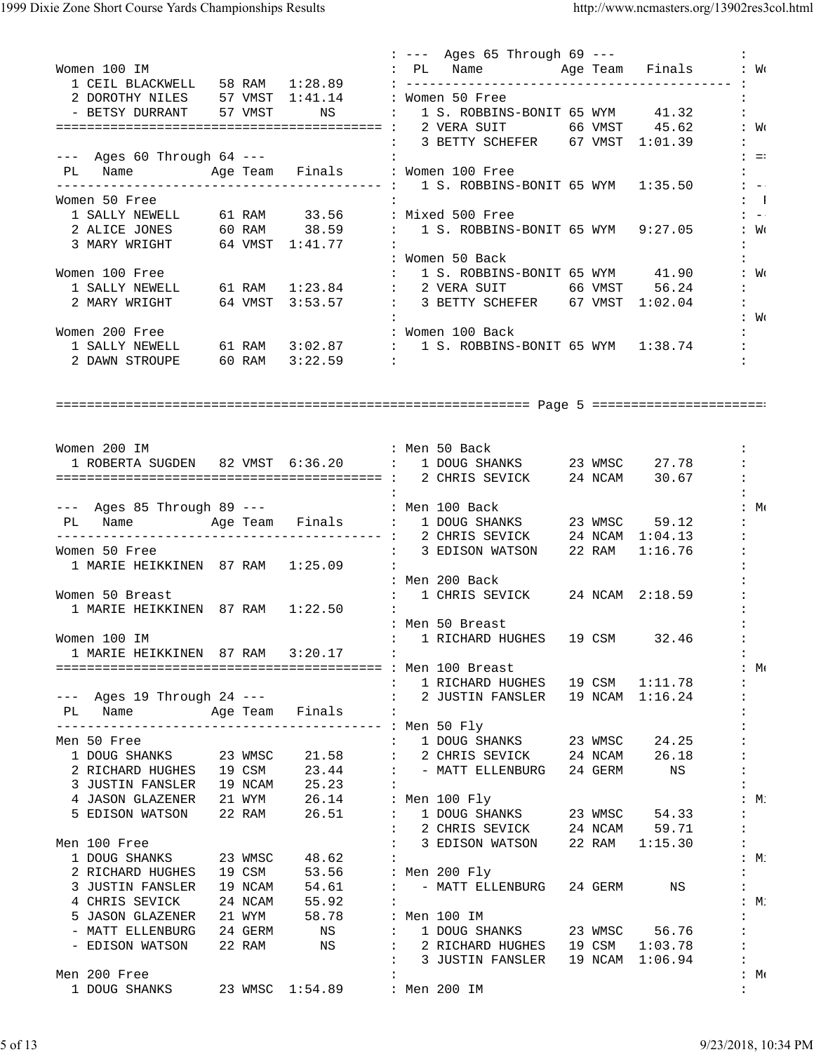|                                                                                                                                                                        | : --- Ages 65 Through 69 ---                                                                                                                      |                             |
|------------------------------------------------------------------------------------------------------------------------------------------------------------------------|---------------------------------------------------------------------------------------------------------------------------------------------------|-----------------------------|
| Women 100 IM                                                                                                                                                           | : PL Name    Age Team Finals : Wo                                                                                                                 |                             |
|                                                                                                                                                                        |                                                                                                                                                   |                             |
| 2 DOROTHY NILES 57 VMST 1:41.14 : Women 50 Free                                                                                                                        |                                                                                                                                                   |                             |
|                                                                                                                                                                        | - BETSY DURRANT 57 VMST NS : 1 S. ROBBINS-BONIT 65 WYM 41.32                                                                                      |                             |
|                                                                                                                                                                        |                                                                                                                                                   | $\colon$ M                  |
|                                                                                                                                                                        |                                                                                                                                                   | $\mathbf{1}$ , $\mathbf{1}$ |
|                                                                                                                                                                        |                                                                                                                                                   | $\ddot{z}$ = :              |
| PL Name Mage Team Finals : Women 100 Free                                                                                                                              |                                                                                                                                                   |                             |
|                                                                                                                                                                        |                                                                                                                                                   |                             |
| Women 50 Free                                                                                                                                                          |                                                                                                                                                   | $\mathbf{1}$                |
|                                                                                                                                                                        | 1 SALLY NEWELL 61 RAM 33.56 : Mixed 500 Free<br>2 ALICE JONES 60 RAM 38.59 : 1 S. ROBBINS-BONIT 65 WYM 9:27.05<br>3 MARY WRIGHT 64 VMST 1:41.77 : | $1 - -1$                    |
|                                                                                                                                                                        |                                                                                                                                                   | $\colon$ $W_0$              |
|                                                                                                                                                                        |                                                                                                                                                   | $\mathbf{1}$                |
|                                                                                                                                                                        | : Women 50 Back                                                                                                                                   |                             |
| Women 100 Free                                                                                                                                                         | : 1 S. ROBBINS-BONIT 65 WYM 41.90                                                                                                                 | : W <sub>0</sub>            |
|                                                                                                                                                                        |                                                                                                                                                   | $\mathbf{1}$ , $\mathbf{1}$ |
|                                                                                                                                                                        | 2 MARY WRIGHT 64 VMST 3:53.57 : 3 BETTY SCHEFER 67 VMST 1:02.04 :                                                                                 |                             |
|                                                                                                                                                                        |                                                                                                                                                   | $\therefore$ We             |
| Women 200 Free                                                                                                                                                         |                                                                                                                                                   |                             |
|                                                                                                                                                                        |                                                                                                                                                   |                             |
| 2 DAWN STROUPE 60 RAM 3:22.59 :                                                                                                                                        |                                                                                                                                                   |                             |
|                                                                                                                                                                        |                                                                                                                                                   |                             |
|                                                                                                                                                                        |                                                                                                                                                   |                             |
|                                                                                                                                                                        |                                                                                                                                                   |                             |
|                                                                                                                                                                        |                                                                                                                                                   |                             |
|                                                                                                                                                                        |                                                                                                                                                   |                             |
| : Men 50 Back<br>Women 200 IM                                                                                                                                          | $\ddot{\cdot}$                                                                                                                                    |                             |
|                                                                                                                                                                        | 1 ROBERTA SUGDEN 82 VMST 6:36.20 : 1 DOUG SHANKS 23 WMSC 27.78 :                                                                                  |                             |
|                                                                                                                                                                        |                                                                                                                                                   |                             |
|                                                                                                                                                                        |                                                                                                                                                   |                             |
|                                                                                                                                                                        |                                                                                                                                                   | $:M \rightarrow M$          |
|                                                                                                                                                                        |                                                                                                                                                   |                             |
|                                                                                                                                                                        |                                                                                                                                                   |                             |
| Women 50 Free                                                                                                                                                          | : 3 EDISON WATSON 22 RAM 1:16.76                                                                                                                  |                             |
| 1 MARIE HEIKKINEN 87 RAM 1:25.09<br>$\sim$ 1.1                                                                                                                         |                                                                                                                                                   |                             |
|                                                                                                                                                                        | : Men 200 Back                                                                                                                                    |                             |
| Women 50 Breast                                                                                                                                                        | : 1 CHRIS SEVICK 24 NCAM 2:18.59                                                                                                                  |                             |
| 1 MARIE HEIKKINEN 87 RAM 1:22.50 :                                                                                                                                     |                                                                                                                                                   |                             |
|                                                                                                                                                                        | : Men 50 Breast                                                                                                                                   |                             |
| Women 100 IM                                                                                                                                                           | : 1 RICHARD HUGHES 19 CSM 32.46                                                                                                                   |                             |
| 1 MARIE HEIKKINEN 87 RAM 3:20.17 :                                                                                                                                     | $\ddot{\phantom{a}}$                                                                                                                              |                             |
|                                                                                                                                                                        |                                                                                                                                                   | $:M \in \mathbb{N}$         |
|                                                                                                                                                                        | : 1 RICHARD HUGHES 19 CSM 1:11.78<br>$\ddot{\cdot}$                                                                                               |                             |
| --- Ages 19 Through 24 --- (2 JUSTIN FANSLER 19 NCAM 1:16.24                                                                                                           | $\ddot{\phantom{a}}$                                                                                                                              |                             |
| PL Name Mge Team Finals :                                                                                                                                              |                                                                                                                                                   |                             |
|                                                                                                                                                                        |                                                                                                                                                   |                             |
| Men 50 Free                                                                                                                                                            |                                                                                                                                                   |                             |
|                                                                                                                                                                        |                                                                                                                                                   |                             |
|                                                                                                                                                                        | $\ddot{\phantom{a}}$                                                                                                                              |                             |
| 3 JUSTIN FANSLER 19 NCAM 25.23 :                                                                                                                                       |                                                                                                                                                   |                             |
| 4 JASON GLAZENER 21 WYM 26.14 : Men 100 Fly                                                                                                                            |                                                                                                                                                   | :M:                         |
| 5 EDISON WATSON 22 RAM 26.51 : 1 DOUG SHANKS 23 WMSC 54.33                                                                                                             | $\ddot{\phantom{a}}$                                                                                                                              |                             |
|                                                                                                                                                                        | : 2 CHRIS SEVICK 24 NCAM 59.71<br>: 3 EDISON WATSON 22 RAM 1:15.30                                                                                |                             |
| Men 100 Free                                                                                                                                                           |                                                                                                                                                   |                             |
| 1 DOUG SHANKS 23 WMSC<br>48.62<br>$\cdot$ :<br>2 RICHARD HUGHES 19 CSM 53.56 : Men 200 Fly                                                                             |                                                                                                                                                   | :M:                         |
|                                                                                                                                                                        | $\ddot{\phantom{a}}$                                                                                                                              |                             |
| 3 JUSTIN FANSLER 19 NCAM 54.61 : - MATT ELLENBURG                                                                                                                      | 24 GERM<br>NS                                                                                                                                     |                             |
| 4 CHRIS SEVICK 24 NCAM<br>55.92<br>$\sim$ 100 $\pm$                                                                                                                    |                                                                                                                                                   | :M:                         |
|                                                                                                                                                                        |                                                                                                                                                   |                             |
| 5 JASON GLAZENER 21 WYM 58.78 : Men 100 IM<br>- MATT ELLENBURG 24 GERM NS : 1 DOUG SHANKS 23 WMSC 56.76<br>- EDISON WATSON 22 RAM NS : 2 RICHARD HUGHES 19 CSM 1:03.78 | $\ddot{\phantom{a}}$                                                                                                                              |                             |
|                                                                                                                                                                        | $\ddot{\phantom{a}}$                                                                                                                              |                             |
|                                                                                                                                                                        | : 3 JUSTIN FANSLER 19 NCAM 1:06.94<br>$\ddot{\cdot}$                                                                                              |                             |
| Men 200 Free                                                                                                                                                           |                                                                                                                                                   | $:M \in \mathbb{N}$         |
| 1 DOUG SHANKS 23 WMSC 1:54.89 : Men 200 IM                                                                                                                             | $\mathbf{L}$                                                                                                                                      |                             |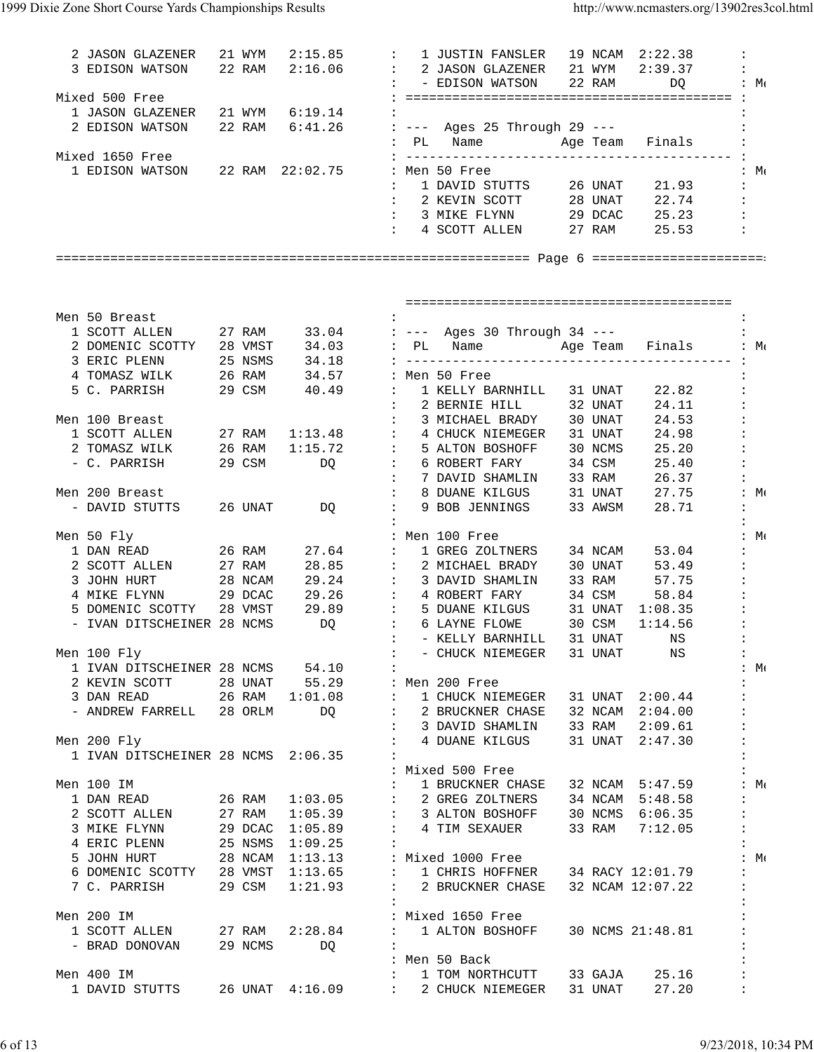| 2 JASON GLAZENER 21 WYM 2:15.85 : 1 JUSTIN FANSLER 19 NCAM 2:22.38<br>3 EDISON WATSON 22 RAM 2:16.06 : 2 JASON GLAZENER 21 WYM 2:39.37 : |                  |                                                                                                                                                                                                                                |                            | : - EDISON WATSON                                                                               | 22 RAM  |                  | $\ddot{\cdot}$<br>$DQ$ : $M($          |
|------------------------------------------------------------------------------------------------------------------------------------------|------------------|--------------------------------------------------------------------------------------------------------------------------------------------------------------------------------------------------------------------------------|----------------------------|-------------------------------------------------------------------------------------------------|---------|------------------|----------------------------------------|
| Mixed 500 Free                                                                                                                           |                  |                                                                                                                                                                                                                                |                            |                                                                                                 |         |                  |                                        |
| 1 JASON GLAZENER 21 WYM 6:19.14                                                                                                          |                  |                                                                                                                                                                                                                                |                            |                                                                                                 |         |                  | $\mathbf{r}$                           |
| 2 EDISON WATSON 22 RAM 6:41.26 : --- Ages 25 Through 29 ---                                                                              |                  |                                                                                                                                                                                                                                |                            |                                                                                                 |         |                  |                                        |
| Mixed 1650 Free                                                                                                                          |                  |                                                                                                                                                                                                                                |                            | : PL Name     Age Team Finals                                                                   |         |                  |                                        |
| 1 EDISON WATSON 22 RAM 22:02.75 : Men 50 Free                                                                                            |                  |                                                                                                                                                                                                                                |                            |                                                                                                 |         |                  | $\therefore$ Me                        |
|                                                                                                                                          |                  |                                                                                                                                                                                                                                |                            |                                                                                                 |         |                  |                                        |
|                                                                                                                                          |                  |                                                                                                                                                                                                                                |                            |                                                                                                 |         |                  |                                        |
|                                                                                                                                          |                  |                                                                                                                                                                                                                                |                            | : 3 MIKE FLYNN 29 DCAC 25.23 :                                                                  |         |                  |                                        |
|                                                                                                                                          |                  |                                                                                                                                                                                                                                |                            | : 4 SCOTT ALLEN 27 RAM 25.53 :                                                                  |         |                  |                                        |
|                                                                                                                                          |                  |                                                                                                                                                                                                                                |                            |                                                                                                 |         |                  |                                        |
|                                                                                                                                          |                  |                                                                                                                                                                                                                                |                            |                                                                                                 |         |                  |                                        |
|                                                                                                                                          |                  |                                                                                                                                                                                                                                |                            |                                                                                                 |         |                  |                                        |
| Men 50 Breast                                                                                                                            |                  |                                                                                                                                                                                                                                |                            |                                                                                                 |         |                  | $\ddot{\cdot}$                         |
| 1 SCOTT ALLEN 27 RAM 33.04 : --- Ages 30 Through 34 ---                                                                                  |                  |                                                                                                                                                                                                                                |                            |                                                                                                 |         |                  |                                        |
|                                                                                                                                          |                  |                                                                                                                                                                                                                                |                            |                                                                                                 |         |                  | Age Team Finals : Me                   |
|                                                                                                                                          |                  |                                                                                                                                                                                                                                |                            |                                                                                                 |         |                  |                                        |
| 5 C. PARRISH 29 CSM 40.49 : 1 KELLY BARNHILL 31 UNAT                                                                                     |                  |                                                                                                                                                                                                                                |                            |                                                                                                 |         |                  |                                        |
|                                                                                                                                          |                  |                                                                                                                                                                                                                                |                            | : 2 BERNIE HILL 32 UNAT                                                                         |         | 22.82<br>24.11   | $\ddot{\cdot}$<br>$\ddot{\phantom{a}}$ |
| Men 100 Breast                                                                                                                           |                  |                                                                                                                                                                                                                                |                            | : 3 MICHAEL BRADY 30 UNAT                                                                       |         | 24.53            | $\ddot{\phantom{a}}$                   |
| 1 SCOTT ALLEN                                                                                                                            |                  |                                                                                                                                                                                                                                |                            | 27 RAM 1:13.48 : 4 CHUCK NIEMEGER                                                               | 31 UNAT |                  | 24.98                                  |
| 2 TOMASZ WILK                                                                                                                            |                  |                                                                                                                                                                                                                                |                            |                                                                                                 | 30 NCMS | 25.20            | $\sim 10$                              |
| - C. PARRISH                                                                                                                             | 26 RAM<br>29 CSM |                                                                                                                                                                                                                                |                            | 1:15.72 : 5 ALTON BOSHOFF<br>DQ : 6 ROBERT FARY                                                 | 34 CSM  |                  | $25.40$ :                              |
|                                                                                                                                          |                  |                                                                                                                                                                                                                                |                            | : 7 DAVID SHAMLIN                                                                               | 33 RAM  |                  | 26.37 :                                |
| Men 200 Breast                                                                                                                           |                  |                                                                                                                                                                                                                                | $\sim$ 100 $\sim$          | 8 DUANE KILGUS                                                                                  |         |                  | 31 UNAT 27.75 : Me                     |
| - DAVID STUTTS 26 UNAT                                                                                                                   |                  | DQ and the state of the state of the state of the state of the state of the state of the state of the state of the state of the state of the state of the state of the state of the state of the state of the state of the sta | $\sim$ $\sim$              | 9 BOB JENNINGS                                                                                  | 33 AWSM | 28.71            | $\ddot{\phantom{a}}$                   |
|                                                                                                                                          |                  |                                                                                                                                                                                                                                |                            |                                                                                                 |         |                  |                                        |
| Men 50 Fly<br>1 DAN READ 26 RAM                                                                                                          |                  |                                                                                                                                                                                                                                |                            | : Men 100 Free<br>27.64 : I GREG ZOLTNERS 34 NCAM                                               |         | 53.04            | :M:<br>$\ddot{\phantom{a}}$            |
| 2 SCOTT ALLEN 27 RAM                                                                                                                     |                  |                                                                                                                                                                                                                                |                            | 28.85 : 2 MICHAEL BRADY 30 UNAT                                                                 |         | 53.49            | $\ddot{\phantom{a}}$                   |
| 3 JOHN HURT 28 NCAM                                                                                                                      |                  |                                                                                                                                                                                                                                |                            | 29.24 : 3 DAVID SHAMLIN 33 RAM                                                                  |         |                  | 57.75 :                                |
| 4 MIKE FLYNN 29 DCAC                                                                                                                     |                  | 29.26                                                                                                                                                                                                                          |                            | : 4 ROBERT FARY 34 CSM                                                                          |         |                  | $58.84$ :                              |
| 5 DOMENIC SCOTTY                                                                                                                         |                  |                                                                                                                                                                                                                                |                            |                                                                                                 |         |                  |                                        |
| - IVAN DITSCHEINER 28 NCMS                                                                                                               |                  |                                                                                                                                                                                                                                |                            | 28 VMST 29.89 : 5 DUANE KILGUS 31 UNAT 1:08.35 :<br>28 NCMS DQ : 6 LAYNE FLOWE 30 CSM 1:14.56 : |         |                  |                                        |
|                                                                                                                                          |                  |                                                                                                                                                                                                                                |                            | : - KELLY BARNHILL 31 UNAT NS :                                                                 |         |                  |                                        |
| Men 100 Fly                                                                                                                              |                  |                                                                                                                                                                                                                                | $\ddot{\phantom{0}}$       | - CHUCK NIEMEGER                                                                                | 31 UNAT | ΝS               | $\ddot{\phantom{a}}$                   |
| 1 IVAN DITSCHEINER 28 NCMS 54.10                                                                                                         |                  |                                                                                                                                                                                                                                |                            |                                                                                                 |         |                  | :M:                                    |
| 2 KEVIN SCOTT                                                                                                                            | 28 UNAT          |                                                                                                                                                                                                                                | 55.29 : Men 200 Free       |                                                                                                 |         |                  | $\ddot{\phantom{a}}$                   |
| 3 DAN READ                                                                                                                               |                  | 26 RAM 1:01.08                                                                                                                                                                                                                 | $\sim 100$                 | 1 CHUCK NIEMEGER                                                                                |         | 31 UNAT 2:00.44  |                                        |
| - ANDREW FARRELL 28 ORLM                                                                                                                 |                  | DQ                                                                                                                                                                                                                             | $\ddot{\phantom{a}}$       | 2 BRUCKNER CHASE 32 NCAM 2:04.00<br>3 DAVID SHAMLIN                                             | 33 RAM  | 2:09.61          | $\ddot{\phantom{a}}$                   |
| Men 200 Fly                                                                                                                              |                  |                                                                                                                                                                                                                                | $\ddot{\phantom{a}}$       | 4 DUANE KILGUS                                                                                  |         | 31 UNAT 2:47.30  |                                        |
| 1 IVAN DITSCHEINER 28 NCMS 2:06.35                                                                                                       |                  |                                                                                                                                                                                                                                |                            |                                                                                                 |         |                  |                                        |
|                                                                                                                                          |                  |                                                                                                                                                                                                                                |                            | : Mixed 500 Free                                                                                |         |                  |                                        |
| Men 100 IM                                                                                                                               |                  |                                                                                                                                                                                                                                | $\ddot{\phantom{a}}$       | 1 BRUCKNER CHASE                                                                                |         | 32 NCAM 5:47.59  | : $M($                                 |
| 1 DAN READ                                                                                                                               | 26 RAM           | 1:03.05                                                                                                                                                                                                                        | $\mathbb{C}^{\times}$      | 2 GREG ZOLTNERS<br>3 ALTON BOSHOFF                                                              |         | 34 NCAM 5:48.58  | $\ddot{\cdot}$                         |
| 2 SCOTT ALLEN                                                                                                                            | 27 RAM           | 1:05.39                                                                                                                                                                                                                        | $\sim$                     |                                                                                                 |         | 30 NCMS 6:06.35  | $\ddot{\phantom{a}}$                   |
| 3 MIKE FLYNN                                                                                                                             | 29 DCAC          | 1:05.89                                                                                                                                                                                                                        | $\mathbf{I}$               | 4 TIM SEXAUER                                                                                   | 33 RAM  | 7:12.05          | $\ddot{\phantom{a}}$                   |
| 4 ERIC PLENN 25 NSMS                                                                                                                     |                  | 1:09.25                                                                                                                                                                                                                        |                            |                                                                                                 |         |                  | $\ddot{\phantom{a}}$                   |
| 5 JOHN HURT<br>28 NCAM                                                                                                                   |                  | 1:13.13                                                                                                                                                                                                                        |                            | : Mixed 1000 Free                                                                               |         |                  | :M:                                    |
| 6 DOMENIC SCOTTY 28 VMST                                                                                                                 |                  | 1:13.65                                                                                                                                                                                                                        | $\sim 100$                 | 1 CHRIS HOFFNER 34 RACY 12:01.79                                                                |         |                  |                                        |
| 7 C. PARRISH                                                                                                                             | 29 CSM           | 1:21.93                                                                                                                                                                                                                        |                            | 2 BRUCKNER CHASE                                                                                |         | 32 NCAM 12:07.22 |                                        |
| Men 200 IM                                                                                                                               |                  |                                                                                                                                                                                                                                |                            | : Mixed 1650 Free                                                                               |         |                  |                                        |
| 1 SCOTT ALLEN                                                                                                                            | 27 RAM           | 2:28.84                                                                                                                                                                                                                        | $\mathbf{L}$               | 1 ALTON BOSHOFF                                                                                 |         | 30 NCMS 21:48.81 |                                        |
| - BRAD DONOVAN                                                                                                                           | 29 NCMS          | DQ                                                                                                                                                                                                                             |                            |                                                                                                 |         |                  |                                        |
|                                                                                                                                          |                  |                                                                                                                                                                                                                                |                            | : Men 50 Back                                                                                   |         |                  |                                        |
| Men 400 IM                                                                                                                               |                  |                                                                                                                                                                                                                                |                            | 1 TOM NORTHCUTT                                                                                 | 33 GAJA | 25.16            | $\ddot{\cdot}$                         |
| 1 DAVID STUTTS                                                                                                                           |                  | 26 UNAT 4:16.09                                                                                                                                                                                                                | $\sim 10^{-10}$ km $^{-1}$ | 2 CHUCK NIEMEGER                                                                                | 31 UNAT | 27.20            | $\ddot{\phantom{a}}$                   |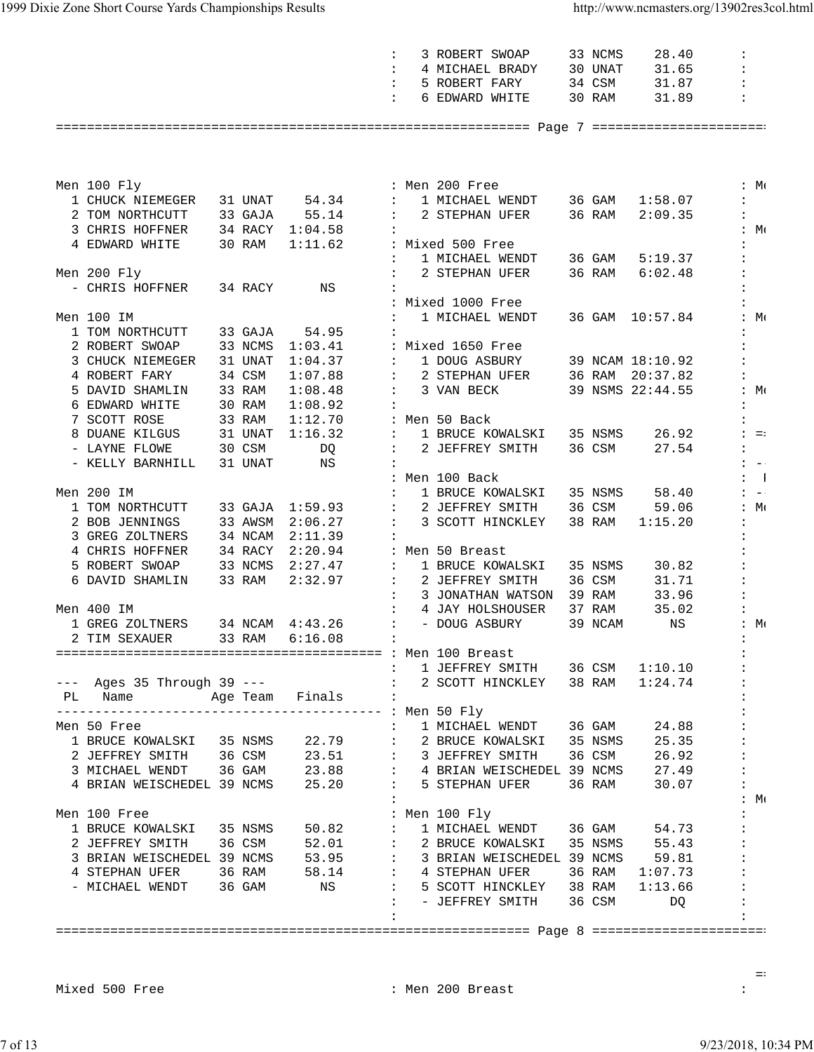|                                                                                                                                                                                                                                                                       |         |         | $\ddot{\phantom{a}}$  | 3 ROBERT SWOAP                                                                                                                                                                                      | 33 NCMS | 28.40            | $\ddot{\phantom{a}}$        |
|-----------------------------------------------------------------------------------------------------------------------------------------------------------------------------------------------------------------------------------------------------------------------|---------|---------|-----------------------|-----------------------------------------------------------------------------------------------------------------------------------------------------------------------------------------------------|---------|------------------|-----------------------------|
|                                                                                                                                                                                                                                                                       |         |         |                       | 4 MICHAEL BRADY 30 UNAT                                                                                                                                                                             |         | 31.65            |                             |
|                                                                                                                                                                                                                                                                       |         |         | $\ddot{\phantom{a}}$  | 5 ROBERT FARY                                                                                                                                                                                       |         | 34 CSM 31.87     | $\ddot{\phantom{a}}$        |
|                                                                                                                                                                                                                                                                       |         |         | $\mathbf{L}$          | 6 EDWARD WHITE                                                                                                                                                                                      | 30 RAM  | 31.89            | $\ddot{\phantom{a}}$        |
|                                                                                                                                                                                                                                                                       |         |         |                       |                                                                                                                                                                                                     |         |                  |                             |
|                                                                                                                                                                                                                                                                       |         |         |                       |                                                                                                                                                                                                     |         |                  |                             |
|                                                                                                                                                                                                                                                                       |         |         |                       |                                                                                                                                                                                                     |         |                  |                             |
|                                                                                                                                                                                                                                                                       |         |         |                       |                                                                                                                                                                                                     |         |                  |                             |
| Men 100 Fly                                                                                                                                                                                                                                                           |         |         |                       | : Men 200 Free                                                                                                                                                                                      |         |                  | :M:                         |
| 1 CHUCK NIEMEGER 31 UNAT 54.34 :                                                                                                                                                                                                                                      |         |         |                       | 1 MICHAEL WENDT 36 GAM 1:58.07                                                                                                                                                                      |         |                  |                             |
| 2 TOM NORTHCUTT 33 GAJA 55.14                                                                                                                                                                                                                                         |         |         |                       | : 2 STEPHAN UFER 36 RAM                                                                                                                                                                             |         | 2:09.35          | $\mathbf{r}$                |
|                                                                                                                                                                                                                                                                       |         |         |                       |                                                                                                                                                                                                     |         |                  | $:M \in \mathbb{N}$         |
| 3 CHRIS HOFFNER 34 RACY 1:04.58<br>4 EDWARD WHITE 30 RAM 1:11.62                                                                                                                                                                                                      |         |         |                       | : Mixed 500 Free                                                                                                                                                                                    |         |                  |                             |
|                                                                                                                                                                                                                                                                       |         |         | $\mathbf{L}$          | 1 MICHAEL WENDT 36 GAM 5:19.37                                                                                                                                                                      |         |                  |                             |
| Men 200 Fly                                                                                                                                                                                                                                                           |         |         | $\ddot{\phantom{a}}$  | 2 STEPHAN UFER                                                                                                                                                                                      | 36 RAM  | 6:02.48          | $\ddot{\phantom{a}}$        |
| - CHRIS HOFFNER 34 RACY                                                                                                                                                                                                                                               |         | NS      |                       |                                                                                                                                                                                                     |         |                  |                             |
|                                                                                                                                                                                                                                                                       |         |         |                       | : Mixed 1000 Free                                                                                                                                                                                   |         |                  |                             |
| Men 100 IM                                                                                                                                                                                                                                                            |         |         |                       | 1 MICHAEL WENDT                                                                                                                                                                                     |         | 36 GAM 10:57.84  | :M:                         |
| 1 TOM NORTHCUTT 33 GAJA                                                                                                                                                                                                                                               |         | 54.95   |                       |                                                                                                                                                                                                     |         |                  |                             |
| 2 ROBERT SWOAP 33 NCMS 1:03.41                                                                                                                                                                                                                                        |         |         |                       | : Mixed 1650 Free                                                                                                                                                                                   |         |                  |                             |
|                                                                                                                                                                                                                                                                       |         |         |                       | 3 CHUCK NIEMEGER 31 UNAT 1:04.37 : 1 DOUG ASBURY                                                                                                                                                    |         | 39 NCAM 18:10.92 |                             |
| 4 ROBERT FARY                                                                                                                                                                                                                                                         | 34 CSM  | 1:07.88 |                       | : 2 STEPHAN UFER 36 RAM 20:37.82                                                                                                                                                                    |         |                  |                             |
| 5 DAVID SHAMLIN 33 RAM                                                                                                                                                                                                                                                |         | 1:08.48 |                       | : 3 VAN BECK                                                                                                                                                                                        |         | 39 NSMS 22:44.55 | :M:                         |
|                                                                                                                                                                                                                                                                       |         | 1:08.92 |                       |                                                                                                                                                                                                     |         |                  |                             |
|                                                                                                                                                                                                                                                                       |         | 1:12.70 |                       |                                                                                                                                                                                                     |         |                  |                             |
| 6 EDWARD WHITE 30 RAM<br>7 SCOTT ROSE 33 RAM<br>8 DUANE KILGUS 31 UNAT                                                                                                                                                                                                |         | 1:16.32 |                       | : Men 50 Back<br>:   1 BRUCE KOWALSKI   35 NSMS                                                                                                                                                     |         | 26.92            | $\mathbf{1} = \mathbf{1}$   |
| 30 CSM<br>- LAYNE FLOWE                                                                                                                                                                                                                                               |         | DQ      |                       | : 2 JEFFREY SMITH                                                                                                                                                                                   | 36 CSM  | 27.54            | $\mathbf{E} = \mathbf{E}$   |
| - KELLY BARNHILL                                                                                                                                                                                                                                                      | 31 UNAT | NS      |                       |                                                                                                                                                                                                     |         |                  | $\mathbf{L} = -\frac{1}{2}$ |
|                                                                                                                                                                                                                                                                       |         |         |                       | : Men 100 Back                                                                                                                                                                                      |         |                  | $\mathbf{1}$                |
| Men 200 IM                                                                                                                                                                                                                                                            |         |         |                       | 1 BRUCE KOWALSKI 35 NSMS                                                                                                                                                                            |         | 58.40            | $\mathbf{1} = -\mathbf{1}$  |
|                                                                                                                                                                                                                                                                       |         |         |                       | 2 JEFFREY SMITH 36 CSM                                                                                                                                                                              |         | 59.06            | : $M($                      |
| $\begin{tabular}{lllllllll} \textbf{1} &\textbf{TOM} &\textbf{NORTHCUTT} & \textbf{33} &\textbf{GAJA} & \textbf{1:59.93} & \textbf{:} \\ \textbf{2} &\textbf{BOB} & \textbf{JENNINGS} & \textbf{33} & \textbf{AWSM} & \textbf{2:06.27} & \textbf{:} \\ \end{tabular}$ |         |         |                       | 3 SCOTT HINCKLEY                                                                                                                                                                                    | 38 RAM  | 1:15.20          | $\mathbf{L}$                |
| 3 GREG ZOLTNERS 34 NCAM 2:11.39                                                                                                                                                                                                                                       |         |         |                       |                                                                                                                                                                                                     |         |                  |                             |
| 4 CHRIS HOFFNER 34 RACY 2:20.94                                                                                                                                                                                                                                       |         |         |                       | : Men 50 Breast                                                                                                                                                                                     |         |                  |                             |
| 5 ROBERT SWOAP 33 NCMS 2:27.47                                                                                                                                                                                                                                        |         |         | $\mathcal{L}$         | 1 BRUCE KOWALSKI                                                                                                                                                                                    | 35 NSMS | 30.82            |                             |
| 6 DAVID SHAMLIN 33 RAM 2:32.97                                                                                                                                                                                                                                        |         |         |                       | : 2 JEFFREY SMITH                                                                                                                                                                                   | 36 CSM  | 31.71            |                             |
|                                                                                                                                                                                                                                                                       |         |         | $\ddot{\phantom{a}}$  | 3 JONATHAN WATSON 39 RAM                                                                                                                                                                            |         | 33.96            |                             |
| Men 400 IM                                                                                                                                                                                                                                                            |         |         | $\mathbb{Z}^{\times}$ | 4 JAY HOLSHOUSER                                                                                                                                                                                    | 37 RAM  | 35.02            |                             |
| 1 GREG ZOLTNERS 34 NCAM 4:43.26                                                                                                                                                                                                                                       |         |         |                       | : - DOUG ASBURY                                                                                                                                                                                     | 39 NCAM | NS               | : M(                        |
| 2 TIM SEXAUER 33 RAM 6:16.08                                                                                                                                                                                                                                          |         |         |                       |                                                                                                                                                                                                     |         |                  |                             |
|                                                                                                                                                                                                                                                                       |         |         |                       |                                                                                                                                                                                                     |         |                  |                             |
|                                                                                                                                                                                                                                                                       |         |         |                       | : 1 JEFFREY SMITH 36 CSM 1:10.10                                                                                                                                                                    |         |                  |                             |
|                                                                                                                                                                                                                                                                       |         |         |                       | --- Ages 35 Through 39 ---<br>: 2 SCOTT HINCKLEY 38 RAM 1:24.74                                                                                                                                     |         |                  |                             |
| PL Name Mage Team Finals                                                                                                                                                                                                                                              |         |         |                       |                                                                                                                                                                                                     |         |                  |                             |
|                                                                                                                                                                                                                                                                       |         |         |                       |                                                                                                                                                                                                     |         |                  |                             |
| Men 50 Free                                                                                                                                                                                                                                                           |         |         |                       | : 1 MICHAEL WENDT 36 GAM 24.88                                                                                                                                                                      |         |                  |                             |
|                                                                                                                                                                                                                                                                       |         |         |                       | 1 BRUCE KOWALSKI 35 NSMS 22.79 : 2 BRUCE KOWALSKI 35 NSMS 25.35                                                                                                                                     |         |                  |                             |
|                                                                                                                                                                                                                                                                       |         |         |                       |                                                                                                                                                                                                     |         |                  |                             |
|                                                                                                                                                                                                                                                                       |         |         |                       |                                                                                                                                                                                                     |         |                  |                             |
|                                                                                                                                                                                                                                                                       |         |         |                       | 2 JEFFREY SMITH 36 CSM 23.51 : 3 JEFFREY SMITH 36 CSM 26.92<br>3 MICHAEL WENDT 36 GAM 23.88 : 4 BRIAN WEISCHEDEL 39 NCMS 27.49<br>4 BRIAN WEISCHEDEL 39 NCMS 25.20 : 5 STEPHAN UFER 36 RAM 30.07    |         |                  |                             |
|                                                                                                                                                                                                                                                                       |         |         |                       |                                                                                                                                                                                                     |         |                  | $\mathbf{H} \cdot$          |
| Men 100 Free                                                                                                                                                                                                                                                          |         |         |                       | : Men 100 Fly                                                                                                                                                                                       |         |                  |                             |
|                                                                                                                                                                                                                                                                       |         |         |                       | 1 BRUCE KOWALSKI 35 NSMS 50.82 : 1 MICHAEL WENDT 36 GAM 54.73                                                                                                                                       |         |                  |                             |
|                                                                                                                                                                                                                                                                       |         |         |                       | 2 JEFFREY SMITH 36 CSM 52.01 : 2 BRUCE KOWALSKI 35 NSMS 55.43<br>3 BRIAN WEISCHEDEL 39 NCMS 53.95 : 3 BRIAN WEISCHEDEL 39 NCMS 59.81<br>4 STEPHAN UFER 36 RAM 58.14 : 4 STEPHAN UFER 36 RAM 1:07.73 |         |                  |                             |
|                                                                                                                                                                                                                                                                       |         |         |                       |                                                                                                                                                                                                     |         |                  |                             |
|                                                                                                                                                                                                                                                                       |         |         |                       |                                                                                                                                                                                                     |         |                  |                             |
|                                                                                                                                                                                                                                                                       |         |         |                       | - MICHAEL WENDT 36 GAM NS : 5 SCOTT HINCKLEY 38 RAM 1:13.66                                                                                                                                         |         |                  |                             |
|                                                                                                                                                                                                                                                                       |         |         |                       | : - JEFFREY SMITH 36 CSM DQ                                                                                                                                                                         |         |                  |                             |
|                                                                                                                                                                                                                                                                       |         |         |                       |                                                                                                                                                                                                     |         |                  |                             |
|                                                                                                                                                                                                                                                                       |         |         |                       |                                                                                                                                                                                                     |         |                  |                             |

Mixed 500 Free : Men 200 Breast : Men 200 Breast :

en de la construction de la construction de la construction de la construction de la construction de la construction de la construction de la construction de la construction de la construction de la construction de la con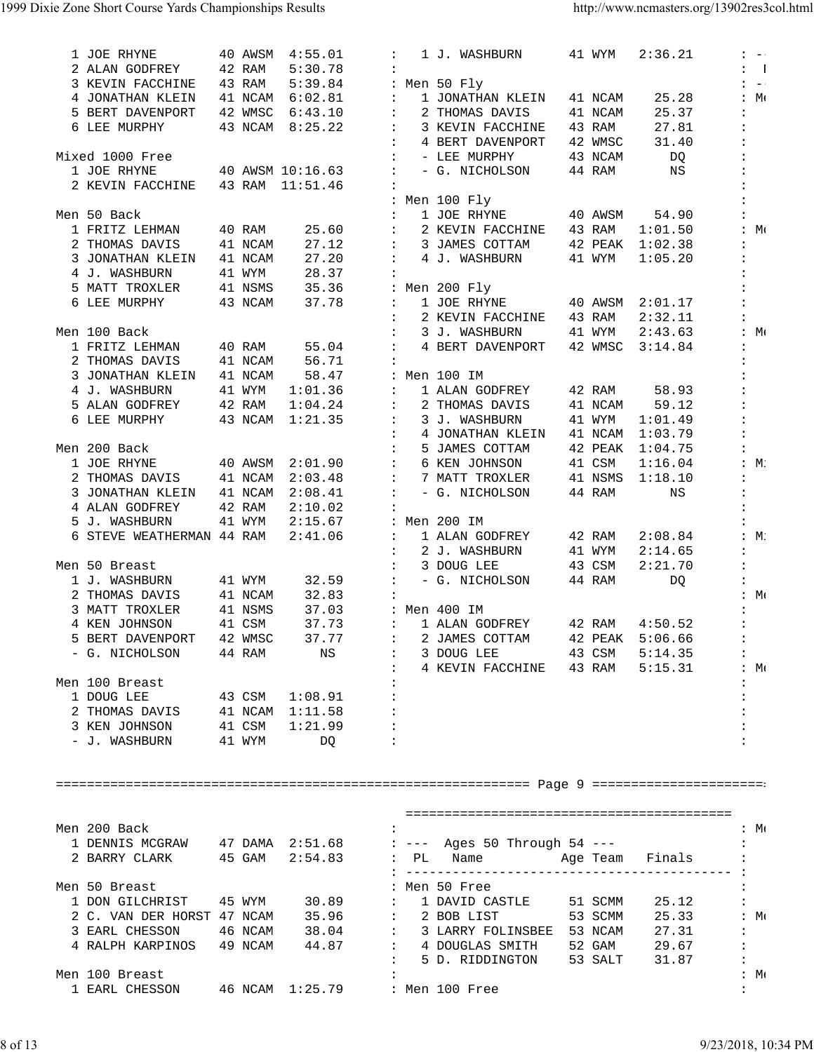| 1 JOE RHYNE                                                                                                                                                                                                         | 40 AWSM | 4:55.01          |                      | 1 J. WASHBURN                       | 41 WYM  | 2:36.21         | $1 - -$                   |
|---------------------------------------------------------------------------------------------------------------------------------------------------------------------------------------------------------------------|---------|------------------|----------------------|-------------------------------------|---------|-----------------|---------------------------|
| 2 ALAN GODFREY                                                                                                                                                                                                      | 42 RAM  | 5:30.78          | $\ddot{\phantom{a}}$ |                                     |         |                 | $\mathbf{I} = \mathbf{I}$ |
| 3 KEVIN FACCHINE                                                                                                                                                                                                    | 43 RAM  | 5:39.84          |                      | : Men 50 Fly                        |         |                 | $1 - -1$                  |
| 4 JONATHAN KLEIN                                                                                                                                                                                                    |         | 41 NCAM 6:02.81  | $\ddot{\phantom{a}}$ | 1 JONATHAN KLEIN                    | 41 NCAM | 25.28           | :M:                       |
| 5 BERT DAVENPORT                                                                                                                                                                                                    |         | 42 WMSC 6:43.10  | $\mathbf{L}$         | 2 THOMAS DAVIS                      | 41 NCAM | 25.37           | $\ddot{\phantom{a}}$      |
| 6 LEE MURPHY                                                                                                                                                                                                        |         | 43 NCAM 8:25.22  | $\ddot{\phantom{a}}$ | 3 KEVIN FACCHINE                    | 43 RAM  | 27.81           | $\ddot{\phantom{a}}$      |
|                                                                                                                                                                                                                     |         |                  | $\ddot{\phantom{a}}$ | 4 BERT DAVENPORT                    | 42 WMSC | 31.40           | $\ddot{\phantom{a}}$      |
| Mixed 1000 Free                                                                                                                                                                                                     |         |                  | $\ddot{\phantom{a}}$ | - LEE MURPHY                        | 43 NCAM | DQ              | $\ddot{\phantom{a}}$      |
| 1 JOE RHYNE                                                                                                                                                                                                         |         | 40 AWSM 10:16.63 | $\ddot{\phantom{a}}$ | - G. NICHOLSON                      | 44 RAM  | NS              | $\ddot{\phantom{a}}$      |
| 2 KEVIN FACCHINE                                                                                                                                                                                                    |         | 43 RAM 11:51.46  |                      |                                     |         |                 |                           |
|                                                                                                                                                                                                                     |         |                  |                      | : Men 100 Fly                       |         |                 |                           |
| Men 50 Back                                                                                                                                                                                                         |         |                  |                      | 1 JOE RHYNE                         | 40 AWSM | 54.90           | $\ddot{\cdot}$            |
| 1 FRITZ LEHMAN                                                                                                                                                                                                      |         |                  | $\ddot{\phantom{a}}$ |                                     |         | 1:01.50         | : $M($                    |
|                                                                                                                                                                                                                     | 40 RAM  | 25.60            | $\ddot{\phantom{a}}$ | 2 KEVIN FACCHINE                    | 43 RAM  |                 |                           |
| 2 THOMAS DAVIS                                                                                                                                                                                                      | 41 NCAM | 27.12            | $\mathbb{Z}^n$       | 3 JAMES COTTAM                      | 42 PEAK | 1:02.38         | $\ddot{\cdot}$            |
| 3 JONATHAN KLEIN                                                                                                                                                                                                    | 41 NCAM | 27.20            | $\mathbb{Z}^n$       | 4 J. WASHBURN                       | 41 WYM  | 1:05.20         | $\ddot{\cdot}$            |
| 4 J. WASHBURN                                                                                                                                                                                                       | 41 WYM  | 28.37            | $\ddot{\phantom{a}}$ |                                     |         |                 |                           |
| 5 MATT TROXLER                                                                                                                                                                                                      | 41 NSMS | 35.36            |                      | : Men 200 Fly                       |         |                 |                           |
| 6 LEE MURPHY                                                                                                                                                                                                        | 43 NCAM | 37.78            | $\ddot{\phantom{a}}$ | 1 JOE RHYNE                         | 40 AWSM | 2:01.17         | $\ddot{\cdot}$            |
|                                                                                                                                                                                                                     |         |                  | $\ddot{\phantom{a}}$ | 2 KEVIN FACCHINE                    | 43 RAM  | 2:32.11         | $\ddot{\cdot}$            |
| Men 100 Back                                                                                                                                                                                                        |         |                  | $\ddot{\phantom{a}}$ | 3 J. WASHBURN                       | 41 WYM  | 2:43.63         | :M:                       |
| 1 FRITZ LEHMAN                                                                                                                                                                                                      | 40 RAM  | 55.04            | $\ddot{\phantom{a}}$ | 4 BERT DAVENPORT                    | 42 WMSC | 3:14.84         | $\ddot{\cdot}$            |
| 2 THOMAS DAVIS                                                                                                                                                                                                      | 41 NCAM | 56.71            | $\ddot{\phantom{a}}$ |                                     |         |                 | $\ddot{\phantom{a}}$      |
| 3 JONATHAN KLEIN                                                                                                                                                                                                    | 41 NCAM | 58.47            |                      | : Men 100 IM                        |         |                 |                           |
| 4 J. WASHBURN                                                                                                                                                                                                       | 41 WYM  | 1:01.36          | $\ddot{\phantom{a}}$ | 1 ALAN GODFREY                      | 42 RAM  | 58.93           | $\ddot{\phantom{a}}$      |
| 5 ALAN GODFREY                                                                                                                                                                                                      | 42 RAM  | 1:04.24          | $\sim$               | 2 THOMAS DAVIS                      | 41 NCAM | 59.12           | $\ddot{\phantom{a}}$      |
| 6 LEE MURPHY                                                                                                                                                                                                        |         | 43 NCAM 1:21.35  | $\ddot{\phantom{a}}$ | 3 J. WASHBURN                       | 41 WYM  | 1:01.49         |                           |
|                                                                                                                                                                                                                     |         |                  | $\ddot{\phantom{a}}$ | 4 JONATHAN KLEIN                    |         | 41 NCAM 1:03.79 |                           |
| Men 200 Back                                                                                                                                                                                                        |         |                  | $\ddot{\phantom{a}}$ | 5 JAMES COTTAM                      | 42 PEAK | 1:04.75         |                           |
| 1 JOE RHYNE                                                                                                                                                                                                         |         | 40 AWSM 2:01.90  | $\ddot{\phantom{a}}$ | 6 KEN JOHNSON                       | 41 CSM  | 1:16.04         | : $M$                     |
| 2 THOMAS DAVIS                                                                                                                                                                                                      |         | 41 NCAM 2:03.48  | $\ddot{\phantom{a}}$ | 7 MATT TROXLER                      | 41 NSMS |                 | $\ddot{\phantom{a}}$      |
|                                                                                                                                                                                                                     |         |                  |                      |                                     |         | 1:18.10         | $\ddot{\cdot}$            |
| 3 JONATHAN KLEIN                                                                                                                                                                                                    |         | 41 NCAM 2:08.41  | $\ddot{\phantom{a}}$ | - G. NICHOLSON                      | 44 RAM  | NS              |                           |
|                                                                                                                                                                                                                     | 42 RAM  | 2:10.02          | $\ddot{\phantom{a}}$ |                                     |         |                 |                           |
| 4 ALAN GODFREY                                                                                                                                                                                                      |         |                  |                      |                                     |         |                 |                           |
| 5 J. WASHBURN                                                                                                                                                                                                       | 41 WYM  | 2:15.67          |                      | : Men 200 IM                        |         |                 |                           |
| 6 STEVE WEATHERMAN 44 RAM                                                                                                                                                                                           |         | 2:41.06          | $\ddot{\phantom{a}}$ | 1 ALAN GODFREY                      | 42 RAM  | 2:08.84         | :M:                       |
|                                                                                                                                                                                                                     |         |                  | $\ddot{\phantom{a}}$ | 2 J. WASHBURN                       | 41 WYM  | 2:14.65         | $\ddot{\cdot}$            |
| Men 50 Breast                                                                                                                                                                                                       |         |                  | $\ddot{\phantom{a}}$ | 3 DOUG LEE                          | 43 CSM  | 2:21.70         | $\ddot{\phantom{a}}$      |
| 1 J. WASHBURN                                                                                                                                                                                                       | 41 WYM  | 32.59            | $\ddot{\phantom{a}}$ | - G. NICHOLSON                      | 44 RAM  | DQ              | $\ddot{\phantom{a}}$      |
| 2 THOMAS DAVIS                                                                                                                                                                                                      | 41 NCAM | 32.83            | $\ddot{\phantom{a}}$ |                                     |         |                 | :M:                       |
| 3 MATT TROXLER                                                                                                                                                                                                      | 41 NSMS | 37.03            |                      | : Men 400 IM                        |         |                 |                           |
| 4 KEN JOHNSON                                                                                                                                                                                                       | 41 CSM  | 37.73            | $\mathbf{L}$         | 1 ALAN GODFREY                      | 42 RAM  | 4:50.52         | $\ddot{\phantom{a}}$      |
| 5 BERT DAVENPORT                                                                                                                                                                                                    | 42 WMSC | 37.77            | $\ddot{\phantom{a}}$ |                                     | 42 PEAK | 5:06.66         |                           |
|                                                                                                                                                                                                                     |         |                  |                      | 2 JAMES COTTAM                      |         |                 | $\ddot{\phantom{a}}$      |
| - G. NICHOLSON 44 RAM NS                                                                                                                                                                                            |         |                  | $\ddot{\phantom{a}}$ | : 3 DOUG LEE 43 CSM 5:14.35         |         |                 |                           |
| Men 100 Breast                                                                                                                                                                                                      |         |                  | $\ddot{\phantom{a}}$ | 4 KEVIN FACCHINE 43 RAM 5:15.31 : M |         |                 |                           |
|                                                                                                                                                                                                                     |         |                  |                      |                                     |         |                 |                           |
| 1 DOUG LEE 43 CSM 1:08.91                                                                                                                                                                                           |         |                  |                      |                                     |         |                 |                           |
| 2 THOMAS DAVIS 41 NCAM 1:11.58                                                                                                                                                                                      |         |                  |                      |                                     |         |                 |                           |
| 3 KEN JOHNSON 41 CSM 1:21.99 :                                                                                                                                                                                      |         |                  |                      |                                     |         |                 |                           |
| - J. WASHBURN 41 WYM DQ :                                                                                                                                                                                           |         |                  |                      |                                     |         |                 |                           |
|                                                                                                                                                                                                                     |         |                  |                      |                                     |         |                 |                           |
|                                                                                                                                                                                                                     |         |                  |                      |                                     |         |                 |                           |
|                                                                                                                                                                                                                     |         |                  |                      |                                     |         |                 |                           |
|                                                                                                                                                                                                                     |         |                  |                      |                                     |         |                 |                           |
|                                                                                                                                                                                                                     |         |                  |                      |                                     |         |                 |                           |
| Men 200 Back                                                                                                                                                                                                        |         |                  | $\ddot{\phantom{a}}$ |                                     |         |                 | $\mathcal{L}$ Me          |
|                                                                                                                                                                                                                     |         |                  |                      |                                     |         |                 |                           |
|                                                                                                                                                                                                                     |         |                  |                      |                                     |         |                 |                           |
|                                                                                                                                                                                                                     |         |                  |                      |                                     |         |                 |                           |
| Men 50 Breast                                                                                                                                                                                                       |         |                  |                      | : Men 50 Free                       |         |                 |                           |
| 1 DON GILCHRIST 45 WYM 30.89 : 1 DAVID CASTLE 51 SCMM 25.12 :                                                                                                                                                       |         |                  |                      |                                     |         |                 |                           |
|                                                                                                                                                                                                                     |         |                  |                      |                                     |         |                 |                           |
|                                                                                                                                                                                                                     |         |                  |                      |                                     |         |                 |                           |
|                                                                                                                                                                                                                     |         |                  |                      |                                     |         |                 |                           |
| 2 C. VAN DER HORST 47 NCAM 35.96 : 2 BOB LIST 53 SCMM 25.33 : M <sub>i</sub><br>3 EARL CHESSON 46 NCAM 38.04 : 3 LARRY FOLINSBEE 53 NCAM 27.31 :<br>4 RALPH KARPINOS 49 NCAM 44.87 : 4 DOUGLAS SMITH 52 GAM 29.67 : |         |                  |                      | : 5 D. RIDDINGTON 53 SALT 31.87 :   |         |                 |                           |
| Men 100 Breast                                                                                                                                                                                                      |         |                  |                      |                                     |         |                 | $:M \in \mathbb{N}$       |
| 1 EARL CHESSON 46 NCAM 1:25.79 : Men 100 Free                                                                                                                                                                       |         |                  |                      |                                     |         |                 | $\ddot{\phantom{a}}$      |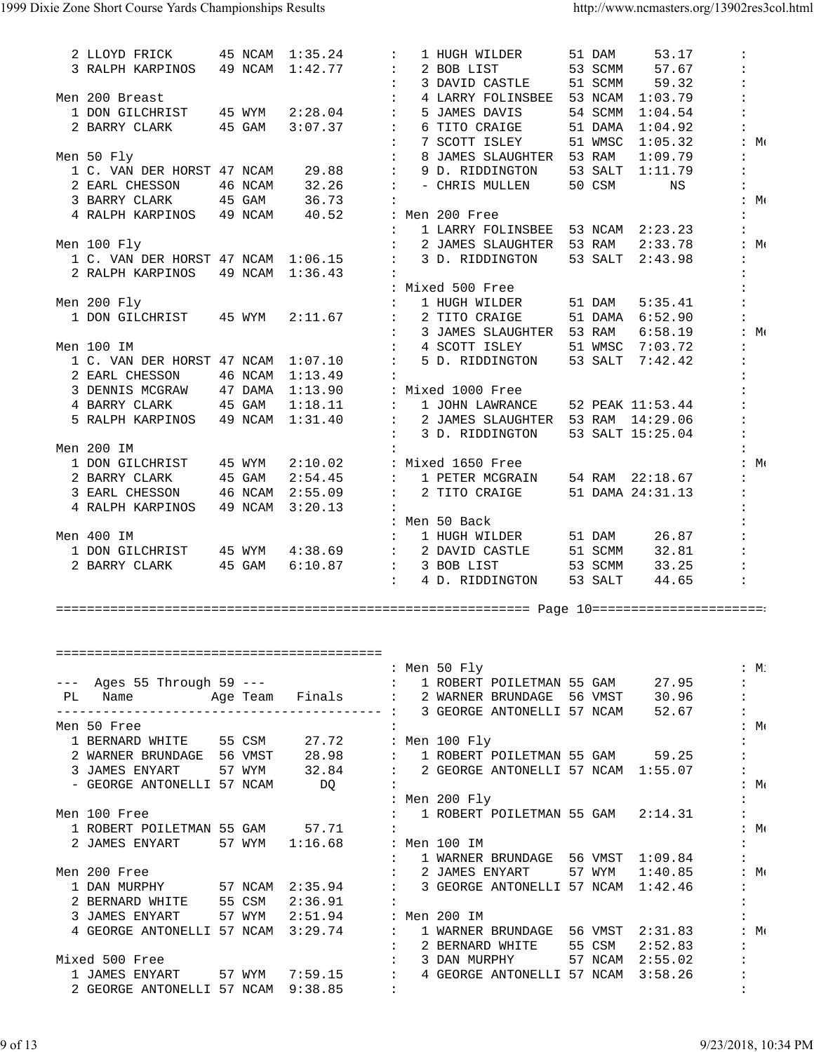| 2 LLOYD FRICK                                                    |         | 45 NCAM 1:35.24 | $\ddot{\phantom{a}}$                       | 51 DAM<br>1 HUGH WILDER                                                                                                                                                                                                                 | 53.17                         |
|------------------------------------------------------------------|---------|-----------------|--------------------------------------------|-----------------------------------------------------------------------------------------------------------------------------------------------------------------------------------------------------------------------------------------|-------------------------------|
| 3 RALPH KARPINOS 49 NCAM 1:42.77                                 |         |                 |                                            | 53 SCMM<br>2 BOB LIST                                                                                                                                                                                                                   | 57.67                         |
|                                                                  |         |                 | $\mathbf{r}$                               | 51 SCMM<br>3 DAVID CASTLE                                                                                                                                                                                                               | 59.32                         |
| Men 200 Breast                                                   |         |                 | $\mathbf{L}$                               | 53 NCAM 1:03.79<br>4 LARRY FOLINSBEE                                                                                                                                                                                                    |                               |
| 1 DON GILCHRIST 45 WYM                                           |         | 2:28.04         | $\mathbb{Z}^{\times}$                      | 5 JAMES DAVIS<br>54 SCMM 1:04.54                                                                                                                                                                                                        |                               |
| 2 BARRY CLARK                                                    | 45 GAM  | 3:07.37         | $\mathbb{Z}^n$                             | 6 TITO CRAIGE<br>51 DAMA 1:04.92                                                                                                                                                                                                        |                               |
|                                                                  |         |                 | $\mathbb{Z}^n$                             | 7 SCOTT ISLEY<br>51 WMSC 1:05.32                                                                                                                                                                                                        | : $M($                        |
| Men 50 Fly                                                       |         |                 | $\ddot{\phantom{a}}$                       | 8 JAMES SLAUGHTER 53 RAM                                                                                                                                                                                                                | 1:09.79                       |
| 1 C. VAN DER HORST 47 NCAM                                       |         | 29.88           | $\ddot{\phantom{a}}$                       | 9 D. RIDDINGTON<br>53 SALT 1:11.79                                                                                                                                                                                                      |                               |
| 2 EARL CHESSON                                                   | 46 NCAM | 32.26           | $\mathcal{I}$ .                            | - CHRIS MULLEN<br>50 CSM                                                                                                                                                                                                                | NS                            |
| 3 BARRY CLARK 45 GAM 36.73                                       |         |                 |                                            |                                                                                                                                                                                                                                         | : $M($                        |
| 4 RALPH KARPINOS 49 NCAM                                         |         | 40.52           |                                            | : Men 200 Free                                                                                                                                                                                                                          |                               |
|                                                                  |         |                 |                                            | 1 LARRY FOLINSBEE 53 NCAM 2:23.23                                                                                                                                                                                                       |                               |
| Men 100 Fly                                                      |         |                 |                                            | 2 JAMES SLAUGHTER 53 RAM                                                                                                                                                                                                                | : $M$<br>2:33.78              |
| 1 C. VAN DER HORST 47 NCAM 1:06.15                               |         |                 | $\ddot{\phantom{a}}$                       | 53 SALT 2:43.98<br>3 D. RIDDINGTON                                                                                                                                                                                                      |                               |
| 2 RALPH KARPINOS                                                 |         | 49 NCAM 1:36.43 |                                            |                                                                                                                                                                                                                                         |                               |
|                                                                  |         |                 |                                            | : Mixed 500 Free                                                                                                                                                                                                                        |                               |
| Men 200 Fly                                                      |         |                 |                                            | 1 HUGH WILDER<br>51 DAM                                                                                                                                                                                                                 | 5:35.41                       |
| 1 DON GILCHRIST 45 WYM                                           |         | 2:11.67         | $\mathbb{Z}^n$                             | 2 TITO CRAIGE<br>51 DAMA 6:52.90                                                                                                                                                                                                        |                               |
|                                                                  |         |                 |                                            | 3 JAMES SLAUGHTER 53 RAM 6:58.19                                                                                                                                                                                                        | : $M($                        |
| Men 100 IM                                                       |         |                 | $\mathbf{L}$                               | 4 SCOTT ISLEY<br>51 WMSC 7:03.72                                                                                                                                                                                                        |                               |
| 1 C. VAN DER HORST 47 NCAM 1:07.10                               |         |                 | $\mathbf{L}$                               | 5 D. RIDDINGTON<br>53 SALT 7:42.42                                                                                                                                                                                                      |                               |
| 2 EARL CHESSON 46 NCAM                                           |         | 1:13.49         |                                            |                                                                                                                                                                                                                                         |                               |
| 3 DENNIS MCGRAW 47 DAMA                                          |         | 1:13.90         |                                            | : Mixed 1000 Free                                                                                                                                                                                                                       |                               |
| 4 BARRY CLARK 45 GAM 1:18.11<br>5 RALPH KARPINOS 49 NCAM 1:31.40 |         | 1:18.11         | $\mathbf{1}$                               | 1 JOHN LAWRANCE<br>52 PEAK 11:53.44                                                                                                                                                                                                     |                               |
|                                                                  |         |                 |                                            | 2 JAMES SLAUGHTER 53 RAM 14:29.06                                                                                                                                                                                                       |                               |
|                                                                  |         |                 | $\ddot{\phantom{a}}$                       | 53 SALT 15:25.04<br>3 D. RIDDINGTON                                                                                                                                                                                                     |                               |
| Men 200 IM                                                       |         |                 |                                            |                                                                                                                                                                                                                                         |                               |
| 1 DON GILCHRIST 45 WYM                                           |         | 2:10.02         |                                            | : Mixed 1650 Free                                                                                                                                                                                                                       | : $M($                        |
| 2 BARRY CLARK 45 GAM                                             |         | 2:54.45         | $\mathbf{1}$ , $\mathbf{1}$ , $\mathbf{1}$ | 54 RAM 22:18.67<br>1 PETER MCGRAIN                                                                                                                                                                                                      |                               |
| 3 EARL CHESSON 46 NCAM 2:55.09                                   |         |                 |                                            | 2 TITO CRAIGE<br>51 DAMA 24:31.13                                                                                                                                                                                                       |                               |
| 4 RALPH KARPINOS 49 NCAM                                         |         | 3:20.13         |                                            |                                                                                                                                                                                                                                         |                               |
|                                                                  |         |                 |                                            | : Men 50 Back                                                                                                                                                                                                                           |                               |
|                                                                  |         |                 |                                            |                                                                                                                                                                                                                                         |                               |
| Men 400 IM                                                       |         |                 | $\mathbb{Z}^n$                             | 51 DAM 26.87<br>1 HUGH WILDER                                                                                                                                                                                                           |                               |
|                                                                  |         |                 |                                            | 1 DON GILCHRIST 45 WYM 4:38.69 : 2 DAVID CASTLE<br>51 SCMM 32.81                                                                                                                                                                        |                               |
| 2 BARRY CLARK 45 GAM                                             |         |                 |                                            | 6:10.87 : 3 BOB LIST<br>53 SCMM                                                                                                                                                                                                         | 33.25                         |
|                                                                  |         |                 |                                            | 53 SALT<br>4 D. RIDDINGTON                                                                                                                                                                                                              | $\mathbf{r}$<br>44.65         |
|                                                                  |         |                 |                                            |                                                                                                                                                                                                                                         |                               |
|                                                                  |         |                 |                                            |                                                                                                                                                                                                                                         |                               |
|                                                                  |         |                 |                                            |                                                                                                                                                                                                                                         |                               |
|                                                                  |         |                 |                                            |                                                                                                                                                                                                                                         |                               |
|                                                                  |         |                 |                                            |                                                                                                                                                                                                                                         | $:M$ :                        |
|                                                                  |         |                 |                                            |                                                                                                                                                                                                                                         |                               |
|                                                                  |         |                 |                                            |                                                                                                                                                                                                                                         | $\ddot{\cdot}$                |
|                                                                  |         |                 |                                            |                                                                                                                                                                                                                                         |                               |
| Men 50 Free                                                      |         |                 |                                            |                                                                                                                                                                                                                                         | $\mathbf{H} \cdot \mathbf{M}$ |
|                                                                  |         |                 |                                            |                                                                                                                                                                                                                                         |                               |
|                                                                  |         |                 |                                            |                                                                                                                                                                                                                                         |                               |
|                                                                  |         |                 |                                            |                                                                                                                                                                                                                                         |                               |
|                                                                  |         |                 |                                            |                                                                                                                                                                                                                                         | $\mathcal{L}$ Me              |
|                                                                  |         |                 |                                            | 1 BERNARD WHITE 55 CSM 27.72 : Men 100 Fly<br>2 WARNER BRUNDAGE 56 VMST 28.98 : 1 ROBERT POILETMAN 55 GAM 59.25<br>3 JAMES ENYART 57 WYM 32.84 : 2 GEORGE ANTONELLI 57 NCAM 1:55.07<br>- GEORGE ANTONELLI 57 NCAM DQ :<br>: Men 200 Fly |                               |
| Men 100 Free                                                     |         |                 | $\mathbf{1}$ , $\mathbf{1}$ , $\mathbf{1}$ | 1 ROBERT POILETMAN 55 GAM 2:14.31                                                                                                                                                                                                       |                               |
| 1 ROBERT POILETMAN 55 GAM 57.71 :                                |         |                 |                                            |                                                                                                                                                                                                                                         | $:M_{\mathfrak{t}}$           |
| 2 JAMES ENYART 57 WYM 1:16.68 : Men 100 IM                       |         |                 |                                            |                                                                                                                                                                                                                                         |                               |
|                                                                  |         |                 |                                            | : $1$ WARNER BRUNDAGE 56 VMST $1:09.84$                                                                                                                                                                                                 |                               |
| Men 200 Free                                                     |         |                 |                                            | : 2 JAMES ENYART 57 WYM $1:40.85$ : M                                                                                                                                                                                                   |                               |
|                                                                  |         |                 |                                            | 1 DAN MURPHY 57 NCAM 2:35.94 : 3 GEORGE ANTONELLI 57 NCAM 1:42.46                                                                                                                                                                       |                               |
| 2 BERNARD WHITE 55 CSM 2:36.91 :                                 |         |                 |                                            |                                                                                                                                                                                                                                         |                               |
| 3 JAMES ENYART 57 WYM 2:51.94 : Men 200 IM                       |         |                 |                                            |                                                                                                                                                                                                                                         |                               |
|                                                                  |         |                 |                                            | 4 GEORGE ANTONELLI 57 NCAM 3:29.74 : 1 WARNER BRUNDAGE 56 VMST 2:31.83 : M                                                                                                                                                              |                               |
|                                                                  |         |                 |                                            |                                                                                                                                                                                                                                         |                               |
| Mixed 500 Free                                                   |         |                 |                                            | : 2 BERNARD WHITE 55 CSM 2:52.83<br>: 3 DAN MURPHY 57 NCAM 2:55.02                                                                                                                                                                      |                               |
| 2 GEORGE ANTONELLI 57 NCAM 9:38.85 :                             |         |                 |                                            | 1 JAMES ENYART 57 WYM 7:59.15 : 4 GEORGE ANTONELLI 57 NCAM 3:58.26                                                                                                                                                                      | $\ddot{\phantom{a}}$          |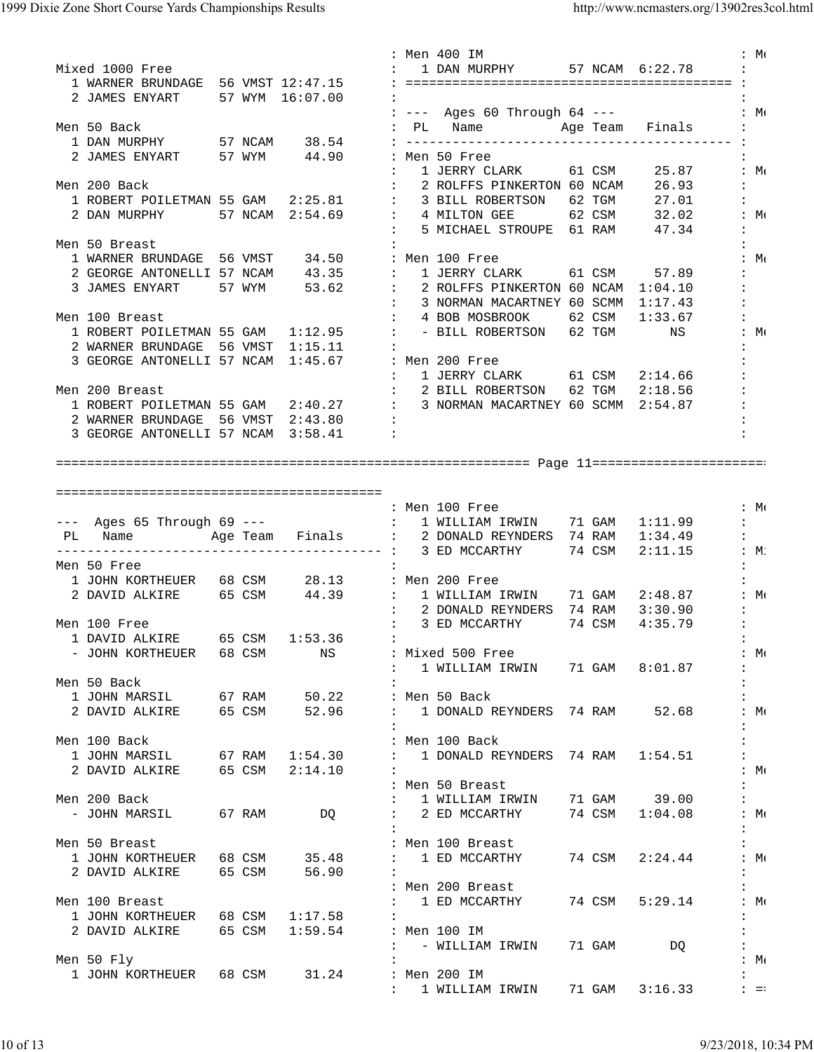|                                            |  |                | : Men 400 IM                                                           | $:M_{\mathfrak{t}}$                       |
|--------------------------------------------|--|----------------|------------------------------------------------------------------------|-------------------------------------------|
| Mixed 1000 Free                            |  |                | 1 DAN MURPHY 57 NCAM 6:22.78                                           |                                           |
| 1 WARNER BRUNDAGE 56 VMST 12:47.15         |  |                |                                                                        |                                           |
| 2 JAMES ENYART 57 WYM 16:07.00             |  |                |                                                                        |                                           |
|                                            |  |                | : --- Ages 60 Through 64 --- : Me                                      |                                           |
| Men 50 Back                                |  |                | : PL Name Mage Team Finals                                             |                                           |
|                                            |  |                |                                                                        |                                           |
|                                            |  |                | 2 JAMES ENYART 57 WYM 44.90 : Men 50 Free                              |                                           |
|                                            |  |                |                                                                        |                                           |
|                                            |  |                | : 1 JERRY CLARK 61 CSM 25.87                                           | $:M \rightarrow \mathbb{R}$               |
| Men 200 Back                               |  |                | : 2 ROLFFS PINKERTON 60 NCAM 26.93                                     | $\ddot{\phantom{a}}$                      |
|                                            |  |                |                                                                        | $\ddot{\phantom{a}}$                      |
|                                            |  |                |                                                                        | $:M \rightarrow \mathbb{R}$               |
|                                            |  |                | : 5 MICHAEL STROUPE 61 RAM 47.34                                       | $\ddot{\cdot}$                            |
| Men 50 Breast                              |  |                |                                                                        |                                           |
|                                            |  |                |                                                                        |                                           |
|                                            |  |                | 1 WARNER BRUNDAGE 56 VMST 34.50 : Men 100 Free                         | $:M \in \mathbb{N}$                       |
|                                            |  |                | 2 GEORGE ANTONELLI 57 NCAM 43.35 : 1 JERRY CLARK 61 CSM 57.89          |                                           |
|                                            |  |                | 3 JAMES ENYART 57 WYM 53.62 : 2 ROLFFS PINKERTON 60 NCAM 1:04.10       |                                           |
|                                            |  |                | : 3 NORMAN MACARTNEY 60 SCMM 1:17.43                                   |                                           |
| Men 100 Breast                             |  |                | 4 BOB MOSBROOK 62 CSM<br>$\mathbf{L}$<br>1:33.67                       |                                           |
| 1 ROBERT POILETMAN 55 GAM 1:12.95 :        |  |                | - BILL ROBERTSON 62 TGM<br>$\mathbf{H} \in \mathbb{R}$<br>NS           |                                           |
| 2 WARNER BRUNDAGE 56 VMST 1:15.11          |  |                |                                                                        |                                           |
|                                            |  |                |                                                                        |                                           |
|                                            |  |                | 3 GEORGE ANTONELLI 57 NCAM 1:45.67 : Men 200 Free                      |                                           |
|                                            |  |                | : 1 JERRY CLARK 61 CSM 2:14.66                                         |                                           |
| Men 200 Breast                             |  |                | $\therefore$ 2 BILL ROBERTSON 62 TGM 2:18.56                           |                                           |
|                                            |  |                | 1 ROBERT POILETMAN 55 GAM 2:40.27 : 3 NORMAN MACARTNEY 60 SCMM 2:54.87 |                                           |
| 2 WARNER BRUNDAGE 56 VMST 2:43.80 :        |  |                |                                                                        |                                           |
| 3 GEORGE ANTONELLI 57 NCAM 3:58.41         |  |                | $\ddot{\phantom{a}}$                                                   |                                           |
|                                            |  |                |                                                                        |                                           |
|                                            |  |                |                                                                        |                                           |
|                                            |  |                |                                                                        |                                           |
|                                            |  |                |                                                                        |                                           |
|                                            |  |                |                                                                        |                                           |
|                                            |  |                | : Men 100 Free                                                         | $: M_{\odot}$                             |
|                                            |  |                | --- Ages 65 Through 69 --- 1 WILLIAM IRWIN 71 GAM 1:11.99              | $\mathbf{1}$                              |
|                                            |  |                |                                                                        |                                           |
|                                            |  |                |                                                                        |                                           |
| PL Name                                    |  |                | Age Team Finals : 2 DONALD REYNDERS 74 RAM 1:34.49                     | $\ddot{\phantom{a}}$                      |
|                                            |  |                | 74 CSM<br>$2:11.15$ : M:                                               |                                           |
| Men 50 Free                                |  |                |                                                                        |                                           |
|                                            |  |                |                                                                        |                                           |
|                                            |  |                | 1 JOHN KORTHEUER 68 CSM 28.13 : Men 200 Free                           |                                           |
| 2 DAVID ALKIRE 65 CSM                      |  |                |                                                                        | $:M \rightarrow \mathbb{R}$               |
|                                            |  |                | : 2 DONALD REYNDERS 74 RAM 3:30.90                                     | $\ddot{\phantom{a}}$                      |
| Men 100 Free                               |  |                | : 3 ED MCCARTHY 74 CSM<br>4:35.79                                      | $\ddot{\phantom{a}}$                      |
| 1 DAVID ALKIRE 65 CSM 1:53.36              |  |                | <b>Contract Contract</b>                                               |                                           |
| - JOHN KORTHEUER 68 CSM NS                 |  |                | : Mixed 500 Free                                                       | $:M \in \mathbb{N}$                       |
|                                            |  |                |                                                                        | $\ddot{\phantom{a}}$                      |
|                                            |  |                | : 1 WILLIAM IRWIN 71 GAM 8:01.87                                       |                                           |
| Men 50 Back                                |  |                |                                                                        |                                           |
| 1 JOHN MARSIL 67 RAM                       |  | 50.22          | : Men 50 Back                                                          |                                           |
| 2 DAVID ALKIRE 65 CSM                      |  | 52.96          | : 1 DONALD REYNDERS 74 RAM 52.68                                       | :M:                                       |
|                                            |  |                |                                                                        |                                           |
| Men 100 Back                               |  |                | : Men 100 Back                                                         |                                           |
| 1 JOHN MARSIL 67 RAM 1:54.30               |  |                | : 1 DONALD REYNDERS 74 RAM 1:54.51                                     |                                           |
|                                            |  |                | $\ddot{\phantom{a}}$                                                   | $:M \in \mathbb{N}$                       |
| 2 DAVID ALKIRE 65 CSM 2:14.10              |  |                |                                                                        |                                           |
|                                            |  |                | : Men 50 Breast                                                        |                                           |
| Men 200 Back                               |  |                | : 1 WILLIAM IRWIN 71 GAM 39.00                                         | $\mathbf{1}$                              |
| - JOHN MARSIL                              |  | 67 RAM DO      | : 2 ED MCCARTHY 74 CSM 1:04.08                                         | :M:                                       |
|                                            |  |                |                                                                        |                                           |
| Men 50 Breast                              |  |                | : Men 100 Breast                                                       |                                           |
|                                            |  |                | : 1 ED MCCARTHY<br>74 CSM<br>2:24.44                                   | $:M \rightarrow \mathbb{R}$               |
| 1 JOHN KORTHEUER 68 CSM 35.48              |  |                |                                                                        |                                           |
| 2 DAVID ALKIRE 65 CSM                      |  | 56.90          |                                                                        |                                           |
|                                            |  |                | : Men 200 Breast                                                       | $\mathbf{L}$                              |
| Men 100 Breast                             |  |                | : 1 ED MCCARTHY<br>74 CSM 5:29.14                                      | :M:                                       |
| 1 JOHN KORTHEUER 68 CSM 1:17.58            |  |                |                                                                        |                                           |
| 2 DAVID ALKIRE                             |  | 65 CSM 1:59.54 | : Men 100 IM                                                           |                                           |
|                                            |  |                |                                                                        |                                           |
|                                            |  |                | : - WILLIAM IRWIN<br>71 GAM<br>DQ                                      |                                           |
| Men 50 Fly                                 |  |                |                                                                        | :M:                                       |
| 1 JOHN KORTHEUER 68 CSM 31.24 : Men 200 IM |  |                | : 1 WILLIAM IRWIN 71 GAM 3:16.33                                       | $\ddot{\phantom{a}}$<br>$\pm 1$ = $\pm 1$ |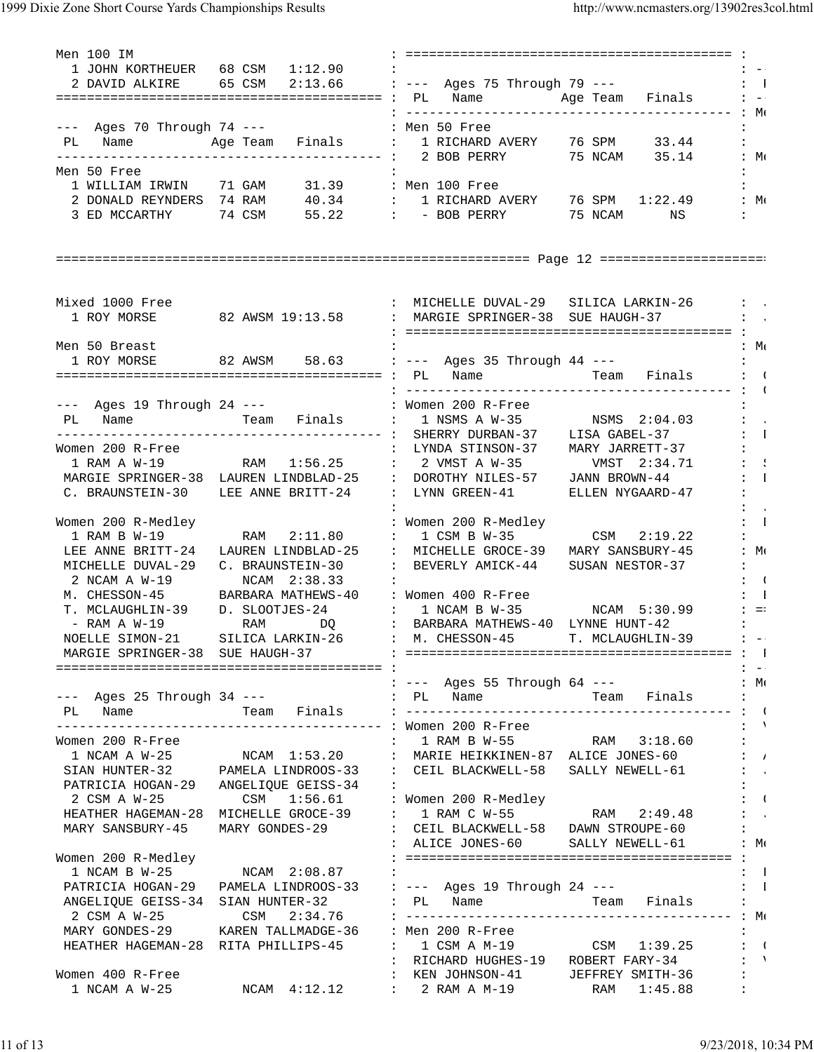1999 Dixie Zone Short Course Yards Championships Results http://www.ncmasters.org/13902res3col.html

Men 100 IM : ========================================== :  $1$  JOHN KORTHEUER 68 CSM  $1:12.90$  : 2 DAVID ALKIRE 65 CSM 2:13.66 : --- Ages 75 Through 79 --- : : 1 ========================================== : PL Name Age Team Finals : -- : ------------------------------------------ : Me --- Ages 70 Through 74 --- : Men 50 Free PL Name Age Team Finals : 1 RICHARD AVERY 76 SPM 33.44 : ------------------------------------------ : 2 BOB PERRY 75 NCAM 35.14 : Me Men 50 Free : : 1 WILLIAM IRWIN 71 GAM 31.39 : Men 100 Free : 2 DONALD REYNDERS  $74$  RAM  $40.34$  : 1 RICHARD AVERY  $76$  SPM  $1:22.49$  : Me 3 ED MCCARTHY 74 CSM 55.22 : - BOB PERRY 75 NCAM NS : ============================================================= Page 12 ====================== Mixed 1000 Free : The South Control of the MICHELLE DUVAL-29 SILICA LARKIN-26 : J 1 ROY MORSE 32 AWSM 19:13.58 : MARGIE SPRINGER-38 SUE HAUGH-37 : : ========================================== : Men 50 Breast :  $M_{\ell}$ 1 ROY MORSE 82 AWSM 58.63 : --- Ages 35 Through 44 ---========================================== : PL Name Team Finals : C : ------------------------------------------ : G --- Ages 19 Through 24 --- : Women 200 R-Free : PL Name Team Finals : 1 NSMS A W-35 NSMS 2:04.03 : ------------------------------------------ : SHERRY DURBAN-37 LISA GABEL-37 : D Women 200 R-Free : LYNDA STINSON-37 MARY JARRETT-37 : 1 RAM A W-19 RAM 1:56.25 : 2 VMST A W-35 VMST 2:34.71 : SPAN A W-19 MARGIE SPRINGER-38 LAUREN LINDBLAD-25 : DOROTHY NILES-57 JANN BROWN-44 : : 1 C. BRAUNSTEIN-30 LEE ANNE BRITT-24 : LYNN GREEN-41 ELLEN NYGAARD-47 : . The contract of the contract of the contract of the contract of the contract of the contract of the contract of the contract of the contract of the contract of the contract of the contract of the contract of the contrac Women 200 R-Medley : Nomen 200 R-Medley : Demon 200 R-Medley : Demon 1 RAM B W-19 RAM 2:11.80 : 1 CSM B W-35 CSM 2:19.22 : LEE ANNE BRITT-24 LAUREN LINDBLAD-25 : MICHELLE GROCE-39 MARY SANSBURY-45 : Me MICHELLE DUVAL-29 C. BRAUNSTEIN-30 : BEVERLY AMICK-44 SUSAN NESTOR-37 : 2 NCAM A W-19 NCAM 2:38.33 : M. CHESSON-45 BARBARA MATHEWS-40 : Women 400 R-Free : B T. MCLAUGHLIN-39 D. SLOOTJES-24 : 1 NCAM B W-35 NCAM 5:30.99 : =: - RAM A W-19 RAM DQ : BARBARA MATHEWS-40 LYNNE HUNT-42 : NOELLE SIMON-21 SILICA LARKIN-26 : M. CHESSON-45 T. MCLAUGHLIN-39 : -- MARGIE SPRINGER-38 SUE HAUGH-37 : ========================================== : P ========================================== : : -- : --- Ages 55 Through 64 --- : Me --- Ages 25 Through 34 --- · · · · · · PL Name PL Name Team Finals : ------------------------------------------ : G ------------------------------------------ : Women 200 R-Free : V Women 200 R-Free : 1 RAM B W-55 RAM 3:18.60 :<br>1 NCAM A W-25 NCAM 1:53.20 : MARIE HEIKKINEN-87 ALICE JONES-60 :<br>1 SIAN HUNTER-32 PAMELA LINDROOS-33 : CEIL BLACKWELL-58 SALLY NEWELL-61 : 1 MARIE HEIKKINEN-87 ALICE JONES-60 : A PAMELA LINDROOS-33 : CEIL BLACKWELL-58 SALLY NEWELL-61 :<br>ANGELIOUE GEISS-34 : PATRICIA HOGAN-29 ANGELIQUE GEISS-34 : : 2 CSM A W-25 CSM 1:56.61 : Women 200 R-Medley : C HEATHER HAGEMAN-28 MICHELLE GROCE-39 : 1 RAM C W-55 RAM 2:49.48 : J MARY SANSBURY-45 MARY GONDES-29 : CEIL BLACKWELL-58 DAWN STROUPE-60 : : ALICE JONES-60 SALLY NEWELL-61 : Me Women 200 R-Medley : ========================================== :  $1 \text{ NCAM } B \text{ W}-25$   $1 \text{ NCAM } 2:08.87$  : PATRICIA HOGAN-29 PAMELA LINDROOS-33 : --- Ages 19 Through 24 ---  $\qquad$  : 1<br>ANGELIQUE GEISS-34 SIAN HUNTER-32 : PL Name Team Finals : ANGELIQUE GEISS-34 SIAN HUNTER-32 : PL Name Team Finals : 2 CSM A W-25 CSM 2:34.76 : ------------------------------------------ : Me MARY GONDES-29 KAREN TALLMADGE-36 : Men 200 R-Free : HEATHER HAGEMAN-28 RITA PHILLIPS-45 : 1 CSM A M-19 CSM 1:39.25 : ( : RICHARD HUGHES-19 ROBERT FARY-34 : V Women 400 R-Free : KEN JOHNSON-41 JEFFREY SMITH-36 : 1 NCAM A W-25 NCAM 4:12.12 : 2 RAM A M-19 RAM 1:45.88 :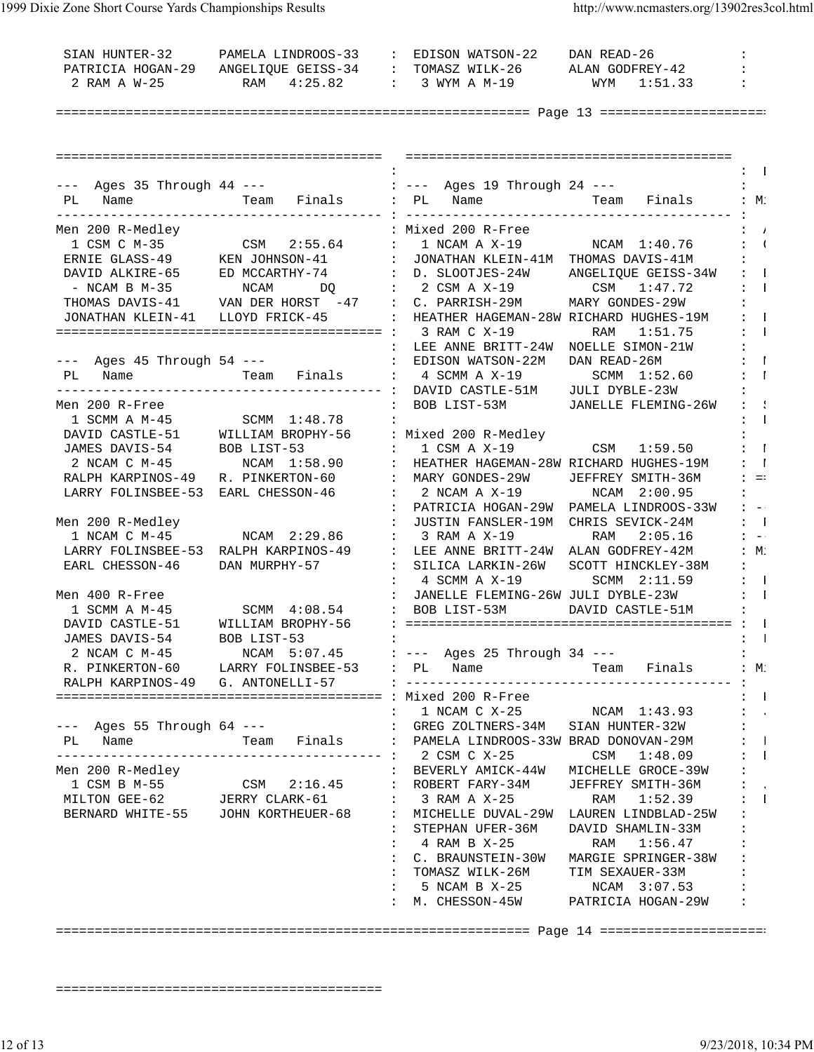| SIAN HUNTER-32                      | PAMELA LINDROOS-33 : EDISON WATSON-22 DAN READ-26                                                                                                                                                                                                                                                                                                                                                                                                                                     |                                     |                                                                              |                               |
|-------------------------------------|---------------------------------------------------------------------------------------------------------------------------------------------------------------------------------------------------------------------------------------------------------------------------------------------------------------------------------------------------------------------------------------------------------------------------------------------------------------------------------------|-------------------------------------|------------------------------------------------------------------------------|-------------------------------|
|                                     | PATRICIA HOGAN-29 ANGELIQUE GEISS-34 : TOMASZ WILK-26 ALAN GODFREY-42                                                                                                                                                                                                                                                                                                                                                                                                                 |                                     |                                                                              |                               |
| 2 RAM A W-25                        | RAM 4:25.82                                                                                                                                                                                                                                                                                                                                                                                                                                                                           |                                     | : 3 WYM A M-19 WYM 1:51.33                                                   |                               |
|                                     |                                                                                                                                                                                                                                                                                                                                                                                                                                                                                       |                                     |                                                                              |                               |
|                                     |                                                                                                                                                                                                                                                                                                                                                                                                                                                                                       |                                     |                                                                              |                               |
|                                     |                                                                                                                                                                                                                                                                                                                                                                                                                                                                                       |                                     |                                                                              | $\mathbf{1}$                  |
|                                     | $---$ Ages 35 Through 44 ---<br>$\therefore$ $\therefore$ Ages 19 Through 24 ---                                                                                                                                                                                                                                                                                                                                                                                                      |                                     |                                                                              |                               |
|                                     | PL Name                  Team Finals     :  PL Name                  Team Finals     : M.                                                                                                                                                                                                                                                                                                                                                                                             |                                     |                                                                              |                               |
| ---------------<br>Men 200 R-Medley |                                                                                                                                                                                                                                                                                                                                                                                                                                                                                       | : Mixed 200 R-Free                  |                                                                              | $\mathbf{i}$                  |
|                                     |                                                                                                                                                                                                                                                                                                                                                                                                                                                                                       |                                     |                                                                              |                               |
|                                     | 1 CSM C M-35<br>1 CSM C M-35 CSM 2:55.64 : 1 NCAM A X-19 NCAM 1:40.76 : 0<br>ERNIE GLASS-49 KEN JOHNSON-41 : JONATHAN KLEIN-41M THOMAS DAVIS-41M :                                                                                                                                                                                                                                                                                                                                    |                                     |                                                                              |                               |
|                                     | DAVID ALKIRE-65 ED MCCARTHY-74 : D. SLOOTJES-24W                                                                                                                                                                                                                                                                                                                                                                                                                                      |                                     | ANGELIQUE GEISS-34W : 1                                                      |                               |
|                                     |                                                                                                                                                                                                                                                                                                                                                                                                                                                                                       |                                     |                                                                              |                               |
|                                     | - NCAM B M-35 MCAM DQ : 2 CSM A X-19 CSM 1:47.72 : 1<br>THOMAS DAVIS-41 VAN DER HORST -47 : C. PARRISH-29M MARY GONDES-29W :<br>JONATHAN KLEIN-41 LLOYD FRICK-45 : HEATHER HAGEMAN-28W RICHARD HUGHES-19M : 1                                                                                                                                                                                                                                                                         |                                     |                                                                              |                               |
|                                     |                                                                                                                                                                                                                                                                                                                                                                                                                                                                                       |                                     |                                                                              |                               |
|                                     |                                                                                                                                                                                                                                                                                                                                                                                                                                                                                       |                                     | RAM 1:51.75 : 1                                                              |                               |
|                                     |                                                                                                                                                                                                                                                                                                                                                                                                                                                                                       |                                     |                                                                              |                               |
|                                     |                                                                                                                                                                                                                                                                                                                                                                                                                                                                                       |                                     | $\mathbb{R}^n$ . The set of $\mathbb{R}^n$ , $\mathbb{R}^n$ , $\mathbb{R}^n$ |                               |
| PL Name                             |                                                                                                                                                                                                                                                                                                                                                                                                                                                                                       |                                     |                                                                              | $\mathbf{I}$                  |
|                                     |                                                                                                                                                                                                                                                                                                                                                                                                                                                                                       |                                     |                                                                              |                               |
| Men 200 R-Free                      | <b>Contractor</b>                                                                                                                                                                                                                                                                                                                                                                                                                                                                     | BOB LIST-53M                        | JANELLE FLEMING-26W                                                          | $1 - 1$                       |
|                                     | 1 SCMM A M-45 SCMM 1:48.78 :                                                                                                                                                                                                                                                                                                                                                                                                                                                          |                                     |                                                                              | $\mathbf{1}$                  |
|                                     | DAVID CASTLE-51 WILLIAM BROPHY-56 : Mixed 200 R-Medley                                                                                                                                                                                                                                                                                                                                                                                                                                |                                     |                                                                              |                               |
|                                     | JAMES DAVIS-54 BOB LIST-53 : 1 CSM A X-19 CSM 1:59.50                                                                                                                                                                                                                                                                                                                                                                                                                                 |                                     |                                                                              | $\mathbf{I}$                  |
|                                     | $\begin{tabular}{lllllllllllllll} \multicolumn{3}{c}{\multicolumn{3}{c}{\multicolumn{3}{c}{\multicolumn{3}{c}{\multicolumn{3}{c}{\multicolumn{3}{c}{\multicolumn{3}{c}{\multicolumn{3}{c}{\multicolumn{3}{c}{\multicolumn{3}{c}{\multicolumn{3}{c}{\multicolumn{3}{c}{\multicolumn{3}{c}{\multicolumn{3}{c}{\multicolumn{3}{c}{\multicolumn{3}{c}{\multicolumn{3}{c}{\multicolumn{3}{c}{\multicolumn{3}{c}{\multicolumn{3}{c}{\multicolumn{3}{c}{\multicolumn{3}{c}{\multicolumn{3}{$ |                                     |                                                                              |                               |
|                                     |                                                                                                                                                                                                                                                                                                                                                                                                                                                                                       |                                     |                                                                              |                               |
|                                     |                                                                                                                                                                                                                                                                                                                                                                                                                                                                                       |                                     |                                                                              |                               |
|                                     |                                                                                                                                                                                                                                                                                                                                                                                                                                                                                       | $\mathbf{L}$                        | PATRICIA HOGAN-29W PAMELA LINDROOS-33W                                       | $\mathbf{1}$ $\mathbf{1}$     |
| Men 200 R-Medley                    |                                                                                                                                                                                                                                                                                                                                                                                                                                                                                       | JUSTIN FANSLER-19M CHRIS SEVICK-24M |                                                                              | $\mathbf{1}$ $\mathbf{1}$     |
| 1 NCAM C M-45                       | NCAM 2:29.86                                                                                                                                                                                                                                                                                                                                                                                                                                                                          | $: 3$ RAM A $X-19$                  | RAM 2:05.16                                                                  | $1 - -1$                      |
|                                     | LARRY FOLINSBEE-53 RALPH KARPINOS-49 : LEE ANNE BRITT-24W ALAN GODFREY-42M<br>EARL CHESSON-46 DAN MURPHY-57 : SILICA LARKIN-26W SCOTT HINCKLEY-38M                                                                                                                                                                                                                                                                                                                                    |                                     |                                                                              | :M:                           |
|                                     |                                                                                                                                                                                                                                                                                                                                                                                                                                                                                       |                                     |                                                                              | $\mathbf{1}$ and $\mathbf{1}$ |
|                                     |                                                                                                                                                                                                                                                                                                                                                                                                                                                                                       | $: 4$ SCMM A $X-19$                 | SCMM 2:11.59 : 1                                                             |                               |
| Men 400 R-Free                      |                                                                                                                                                                                                                                                                                                                                                                                                                                                                                       | $\mathcal{L}$                       | JANELLE FLEMING-26W JULI DYBLE-23W : 1                                       |                               |
|                                     | 1 SCMM A M-45 SCMM 4:08.54 : BOB LIST-53M                                                                                                                                                                                                                                                                                                                                                                                                                                             |                                     | DAVID CASTLE-51M :                                                           |                               |
|                                     |                                                                                                                                                                                                                                                                                                                                                                                                                                                                                       |                                     |                                                                              |                               |
| JAMES DAVIS-54                      | BOB LIST-53                                                                                                                                                                                                                                                                                                                                                                                                                                                                           |                                     |                                                                              | $\mathbf{1}$ $\mathbf{1}$     |
|                                     | 2 NCAM C M-45 NCAM 5:07.45 : --- Ages 25 Through 34 ---                                                                                                                                                                                                                                                                                                                                                                                                                               |                                     |                                                                              |                               |
|                                     | R. PINKERTON-60 LARRY FOLINSBEE-53 : PL Name Team Finals : M.                                                                                                                                                                                                                                                                                                                                                                                                                         |                                     |                                                                              |                               |
|                                     |                                                                                                                                                                                                                                                                                                                                                                                                                                                                                       |                                     |                                                                              | $\cdot$ : $\cdot$ 1           |
|                                     |                                                                                                                                                                                                                                                                                                                                                                                                                                                                                       |                                     | $: 1 NCAM C X-25 NCAM 1:43.93 : C.$                                          |                               |
|                                     |                                                                                                                                                                                                                                                                                                                                                                                                                                                                                       |                                     |                                                                              |                               |
|                                     |                                                                                                                                                                                                                                                                                                                                                                                                                                                                                       |                                     |                                                                              |                               |
|                                     |                                                                                                                                                                                                                                                                                                                                                                                                                                                                                       |                                     |                                                                              |                               |
|                                     |                                                                                                                                                                                                                                                                                                                                                                                                                                                                                       |                                     |                                                                              |                               |
|                                     |                                                                                                                                                                                                                                                                                                                                                                                                                                                                                       |                                     |                                                                              |                               |
|                                     |                                                                                                                                                                                                                                                                                                                                                                                                                                                                                       |                                     |                                                                              |                               |
|                                     | 1 CSM B M-55<br>MILTON GEE-62<br>BERNARD WHITE-55 JOHN KORTHEUER-68 : STEPHAN UFFR-36M DAVID SHAMLIN-35M : 1<br>STEPHAN UFFR-36M DAVID SHAMLIN-33M :                                                                                                                                                                                                                                                                                                                                  |                                     |                                                                              |                               |
|                                     |                                                                                                                                                                                                                                                                                                                                                                                                                                                                                       |                                     |                                                                              |                               |
|                                     |                                                                                                                                                                                                                                                                                                                                                                                                                                                                                       |                                     | : 4 RAM B X-25 RAM 1:56.47                                                   |                               |
|                                     |                                                                                                                                                                                                                                                                                                                                                                                                                                                                                       |                                     | : C. BRAUNSTEIN-30W MARGIE SPRINGER-38W                                      | $\cdot$                       |
|                                     |                                                                                                                                                                                                                                                                                                                                                                                                                                                                                       |                                     | : TOMASZ WILK-26M TIM SEXAUER-33M                                            |                               |
|                                     |                                                                                                                                                                                                                                                                                                                                                                                                                                                                                       |                                     | : 5 NCAM B $X-25$ NCAM 3:07.53                                               |                               |
|                                     |                                                                                                                                                                                                                                                                                                                                                                                                                                                                                       |                                     | : M. CHESSON-45W PATRICIA HOGAN-29W :                                        |                               |
|                                     |                                                                                                                                                                                                                                                                                                                                                                                                                                                                                       |                                     |                                                                              |                               |
|                                     |                                                                                                                                                                                                                                                                                                                                                                                                                                                                                       |                                     |                                                                              |                               |
|                                     |                                                                                                                                                                                                                                                                                                                                                                                                                                                                                       |                                     |                                                                              |                               |

==========================================